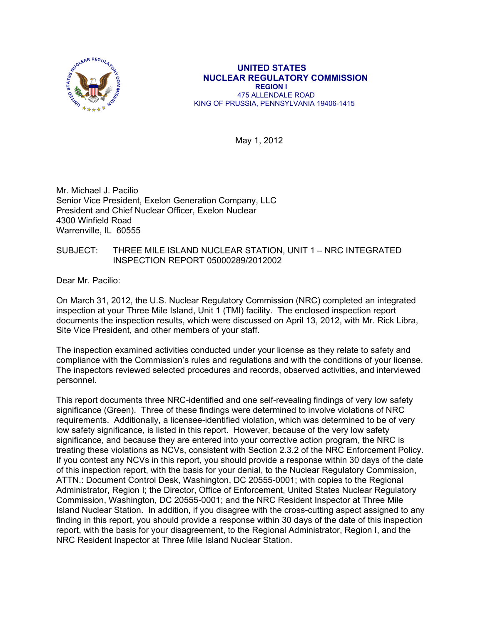

#### **UNITED STATES NUCLEAR REGULATORY COMMISSION REGION I**  475 ALLENDALE ROAD KING OF PRUSSIA, PENNSYLVANIA 19406-1415

May 1, 2012

Mr. Michael J. Pacilio Senior Vice President, Exelon Generation Company, LLC President and Chief Nuclear Officer, Exelon Nuclear 4300 Winfield Road Warrenville, IL 60555

## SUBJECT: THREE MILE ISLAND NUCLEAR STATION, UNIT 1 – NRC INTEGRATED INSPECTION REPORT 05000289/2012002

Dear Mr. Pacilio:

On March 31, 2012, the U.S. Nuclear Regulatory Commission (NRC) completed an integrated inspection at your Three Mile Island, Unit 1 (TMI) facility. The enclosed inspection report documents the inspection results, which were discussed on April 13, 2012, with Mr. Rick Libra, Site Vice President, and other members of your staff.

The inspection examined activities conducted under your license as they relate to safety and compliance with the Commission's rules and regulations and with the conditions of your license. The inspectors reviewed selected procedures and records, observed activities, and interviewed personnel.

This report documents three NRC-identified and one self-revealing findings of very low safety significance (Green). Three of these findings were determined to involve violations of NRC requirements. Additionally, a licensee-identified violation, which was determined to be of very low safety significance, is listed in this report. However, because of the very low safety significance, and because they are entered into your corrective action program, the NRC is treating these violations as NCVs, consistent with Section 2.3.2 of the NRC Enforcement Policy. If you contest any NCVs in this report, you should provide a response within 30 days of the date of this inspection report, with the basis for your denial, to the Nuclear Regulatory Commission, ATTN.: Document Control Desk, Washington, DC 20555-0001; with copies to the Regional Administrator, Region I; the Director, Office of Enforcement, United States Nuclear Regulatory Commission, Washington, DC 20555-0001; and the NRC Resident Inspector at Three Mile Island Nuclear Station. In addition, if you disagree with the cross-cutting aspect assigned to any finding in this report, you should provide a response within 30 days of the date of this inspection report, with the basis for your disagreement, to the Regional Administrator, Region I, and the NRC Resident Inspector at Three Mile Island Nuclear Station.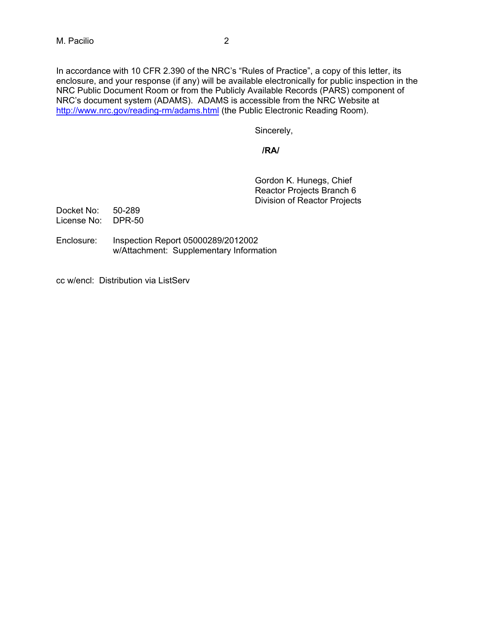In accordance with 10 CFR 2.390 of the NRC's "Rules of Practice", a copy of this letter, its enclosure, and your response (if any) will be available electronically for public inspection in the NRC Public Document Room or from the Publicly Available Records (PARS) component of NRC's document system (ADAMS). ADAMS is accessible from the NRC Website at http://www.nrc.gov/reading-rm/adams.html (the Public Electronic Reading Room).

Sincerely,

## *<i> /RA/*  $\sqrt{R}$ /RA/  $\sqrt{R}$

Gordon K. Hunegs, Chief Reactor Projects Branch 6 Division of Reactor Projects

- Docket No: 50-289 License No: DPR-50
- Enclosure: Inspection Report 05000289/2012002 w/Attachment: Supplementary Information
- cc w/encl: Distribution via ListServ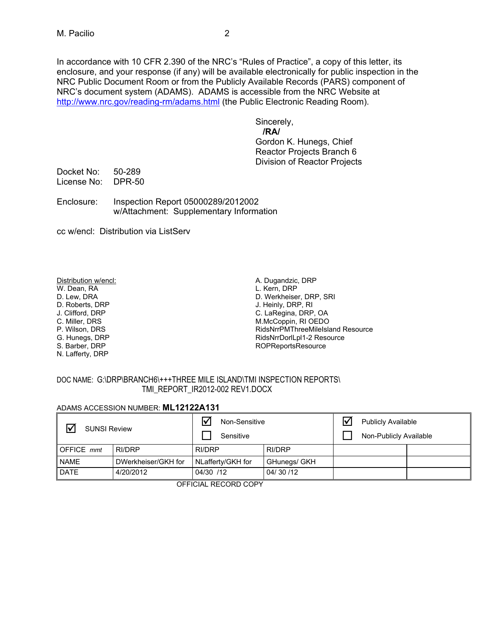In accordance with 10 CFR 2.390 of the NRC's "Rules of Practice", a copy of this letter, its enclosure, and your response (if any) will be available electronically for public inspection in the NRC Public Document Room or from the Publicly Available Records (PARS) component of NRC's document system (ADAMS). ADAMS is accessible from the NRC Website at http://www.nrc.gov/reading-rm/adams.html (the Public Electronic Reading Room).

Sincerely,

 **/RA/**  Gordon K. Hunegs, Chief Reactor Projects Branch 6 Division of Reactor Projects

Docket No: 50-289 License No: DPR-50

Enclosure: Inspection Report 05000289/2012002 w/Attachment: Supplementary Information

cc w/encl: Distribution via ListServ

#### Distribution w/encl:

W. Dean, RA D. Lew, DRA D. Roberts, DRP J. Clifford, DRP C. Miller, DRS

P. Wilson, DRS

G. Hunegs, DRP

S. Barber, DRP

N. Lafferty, DRP

A. Dugandzic, DRP L. Kern, DRP D. Werkheiser, DRP, SRI J. Heinly, DRP, RI C. LaRegina, DRP, OA<br>M.McCoppin, RI OEDO RidsNrrPMThreeMileIsland Resource RidsNrrDorlLpl1-2 Resource ROPReportsResource

## DOC NAME: G:\DRP\BRANCH6\+++THREE MILE ISLAND\TMI INSPECTION REPORTS\ TMI\_REPORT\_IR2012-002 REV1.DOCX

## ADAMS ACCESSION NUMBER: **ML12122A131**

| $\triangledown$<br><b>SUNSI Review</b> |                     | Non-Sensitive<br>Sensitive |              | Ⅳ | <b>Publicly Available</b><br>Non-Publicly Available |  |
|----------------------------------------|---------------------|----------------------------|--------------|---|-----------------------------------------------------|--|
| <b>OFFICE</b> mmt                      | RI/DRP              | RI/DRP                     | RI/DRP       |   |                                                     |  |
| <b>NAME</b>                            | DWerkheiser/GKH for | NLafferty/GKH for          | GHunegs/ GKH |   |                                                     |  |
| <b>DATE</b>                            | 4/20/2012           | 04/30 /12                  | 04/30/12     |   |                                                     |  |

OFFICIAL RECORD COPY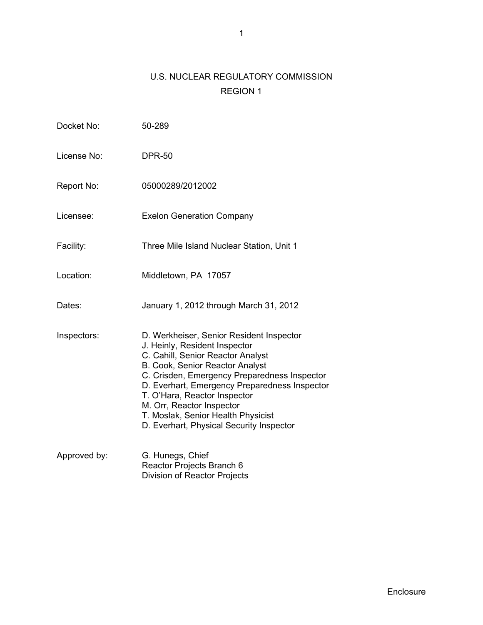# U.S. NUCLEAR REGULATORY COMMISSION REGION 1

| Docket No:   | 50-289                                                                                                                                                                                                                                                                                                                                                                                            |
|--------------|---------------------------------------------------------------------------------------------------------------------------------------------------------------------------------------------------------------------------------------------------------------------------------------------------------------------------------------------------------------------------------------------------|
| License No:  | <b>DPR-50</b>                                                                                                                                                                                                                                                                                                                                                                                     |
| Report No:   | 05000289/2012002                                                                                                                                                                                                                                                                                                                                                                                  |
| Licensee:    | <b>Exelon Generation Company</b>                                                                                                                                                                                                                                                                                                                                                                  |
| Facility:    | Three Mile Island Nuclear Station, Unit 1                                                                                                                                                                                                                                                                                                                                                         |
| Location:    | Middletown, PA 17057                                                                                                                                                                                                                                                                                                                                                                              |
| Dates:       | January 1, 2012 through March 31, 2012                                                                                                                                                                                                                                                                                                                                                            |
| Inspectors:  | D. Werkheiser, Senior Resident Inspector<br>J. Heinly, Resident Inspector<br>C. Cahill, Senior Reactor Analyst<br>B. Cook, Senior Reactor Analyst<br>C. Crisden, Emergency Preparedness Inspector<br>D. Everhart, Emergency Preparedness Inspector<br>T. O'Hara, Reactor Inspector<br>M. Orr, Reactor Inspector<br>T. Moslak, Senior Health Physicist<br>D. Everhart, Physical Security Inspector |
| Approved by: | G. Hunegs, Chief<br>Reactor Projects Branch 6<br><b>Division of Reactor Projects</b>                                                                                                                                                                                                                                                                                                              |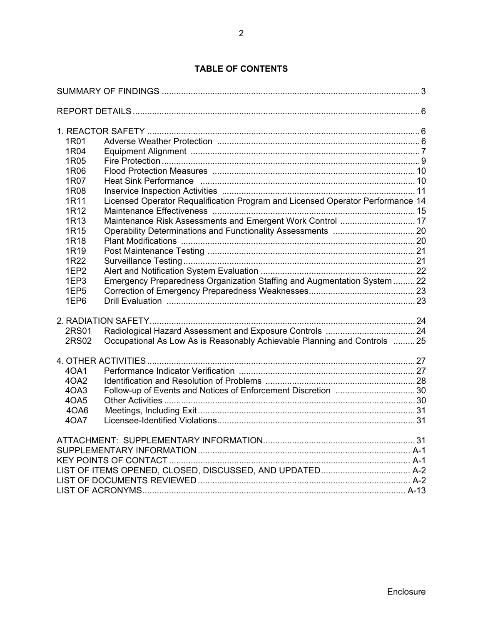# **TABLE OF CONTENTS**

| 1R01<br>1R04<br>1R05<br>1R06<br>1R07<br>1R08<br>1R11<br>1R12<br>1R13<br>1R <sub>15</sub><br>1R18<br>1R19<br>1R22<br>1EP <sub>2</sub><br>1EP3<br>1EP <sub>5</sub><br>1EP6 | Heat Sink Performance manufactured and the Heat Sink Performance of the Heat Sink Performance<br>Licensed Operator Requalification Program and Licensed Operator Performance 14<br>Maintenance Risk Assessments and Emergent Work Control  17<br>Emergency Preparedness Organization Staffing and Augmentation System  22 |  |
|--------------------------------------------------------------------------------------------------------------------------------------------------------------------------|---------------------------------------------------------------------------------------------------------------------------------------------------------------------------------------------------------------------------------------------------------------------------------------------------------------------------|--|
| 2RS01<br>2RS02                                                                                                                                                           | Occupational As Low As is Reasonably Achievable Planning and Controls  25                                                                                                                                                                                                                                                 |  |
| 40A1<br>4OA2<br>4OA3<br>4OA5<br>4OA6<br>40A7                                                                                                                             |                                                                                                                                                                                                                                                                                                                           |  |
|                                                                                                                                                                          |                                                                                                                                                                                                                                                                                                                           |  |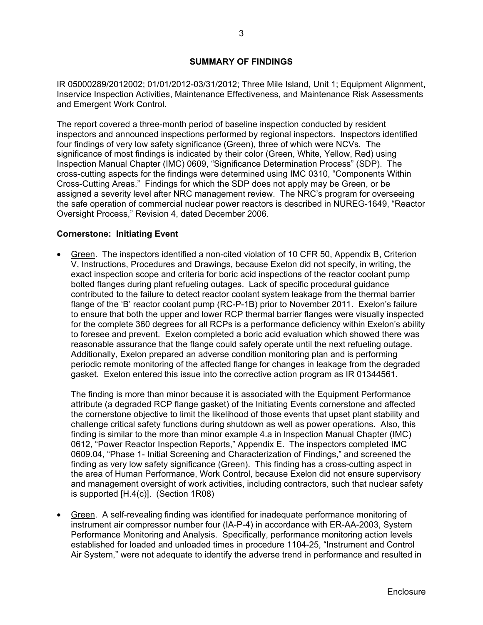## **SUMMARY OF FINDINGS**

IR 05000289/2012002; 01/01/2012-03/31/2012; Three Mile Island, Unit 1; Equipment Alignment, Inservice Inspection Activities, Maintenance Effectiveness, and Maintenance Risk Assessments and Emergent Work Control.

The report covered a three-month period of baseline inspection conducted by resident inspectors and announced inspections performed by regional inspectors. Inspectors identified four findings of very low safety significance (Green), three of which were NCVs. The significance of most findings is indicated by their color (Green, White, Yellow, Red) using Inspection Manual Chapter (IMC) 0609, "Significance Determination Process" (SDP). The cross-cutting aspects for the findings were determined using IMC 0310, "Components Within Cross-Cutting Areas." Findings for which the SDP does not apply may be Green, or be assigned a severity level after NRC management review. The NRC's program for overseeing the safe operation of commercial nuclear power reactors is described in NUREG-1649, "Reactor Oversight Process," Revision 4, dated December 2006.

## **Cornerstone: Initiating Event**

• Green. The inspectors identified a non-cited violation of 10 CFR 50, Appendix B, Criterion V, Instructions, Procedures and Drawings, because Exelon did not specify, in writing, the exact inspection scope and criteria for boric acid inspections of the reactor coolant pump bolted flanges during plant refueling outages. Lack of specific procedural guidance contributed to the failure to detect reactor coolant system leakage from the thermal barrier flange of the 'B' reactor coolant pump (RC-P-1B) prior to November 2011. Exelon's failure to ensure that both the upper and lower RCP thermal barrier flanges were visually inspected for the complete 360 degrees for all RCPs is a performance deficiency within Exelon's ability to foresee and prevent. Exelon completed a boric acid evaluation which showed there was reasonable assurance that the flange could safely operate until the next refueling outage. Additionally, Exelon prepared an adverse condition monitoring plan and is performing periodic remote monitoring of the affected flange for changes in leakage from the degraded gasket. Exelon entered this issue into the corrective action program as IR 01344561.

The finding is more than minor because it is associated with the Equipment Performance attribute (a degraded RCP flange gasket) of the Initiating Events cornerstone and affected the cornerstone objective to limit the likelihood of those events that upset plant stability and challenge critical safety functions during shutdown as well as power operations. Also, this finding is similar to the more than minor example 4.a in Inspection Manual Chapter (IMC) 0612, "Power Reactor Inspection Reports," Appendix E. The inspectors completed IMC 0609.04, "Phase 1- Initial Screening and Characterization of Findings," and screened the finding as very low safety significance (Green). This finding has a cross-cutting aspect in the area of Human Performance, Work Control, because Exelon did not ensure supervisory and management oversight of work activities, including contractors, such that nuclear safety is supported [H.4(c)]. (Section 1R08)

• Green. A self-revealing finding was identified for inadequate performance monitoring of instrument air compressor number four (IA-P-4) in accordance with ER-AA-2003, System Performance Monitoring and Analysis. Specifically, performance monitoring action levels established for loaded and unloaded times in procedure 1104-25, "Instrument and Control Air System," were not adequate to identify the adverse trend in performance and resulted in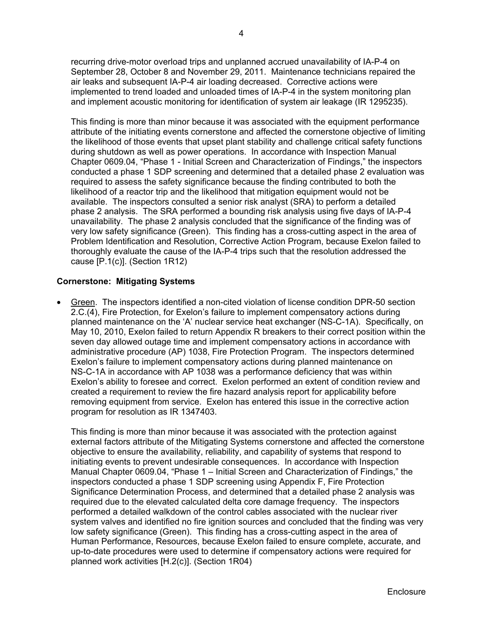recurring drive-motor overload trips and unplanned accrued unavailability of IA-P-4 on September 28, October 8 and November 29, 2011. Maintenance technicians repaired the air leaks and subsequent IA-P-4 air loading decreased. Corrective actions were implemented to trend loaded and unloaded times of IA-P-4 in the system monitoring plan and implement acoustic monitoring for identification of system air leakage (IR 1295235).

This finding is more than minor because it was associated with the equipment performance attribute of the initiating events cornerstone and affected the cornerstone objective of limiting the likelihood of those events that upset plant stability and challenge critical safety functions during shutdown as well as power operations. In accordance with Inspection Manual Chapter 0609.04, "Phase 1 - Initial Screen and Characterization of Findings," the inspectors conducted a phase 1 SDP screening and determined that a detailed phase 2 evaluation was required to assess the safety significance because the finding contributed to both the likelihood of a reactor trip and the likelihood that mitigation equipment would not be available. The inspectors consulted a senior risk analyst (SRA) to perform a detailed phase 2 analysis. The SRA performed a bounding risk analysis using five days of IA-P-4 unavailability. The phase 2 analysis concluded that the significance of the finding was of very low safety significance (Green). This finding has a cross-cutting aspect in the area of Problem Identification and Resolution, Corrective Action Program, because Exelon failed to thoroughly evaluate the cause of the IA-P-4 trips such that the resolution addressed the cause [P.1(c)]. (Section 1R12)

## **Cornerstone: Mitigating Systems**

• Green. The inspectors identified a non-cited violation of license condition DPR-50 section 2.C.(4), Fire Protection, for Exelon's failure to implement compensatory actions during planned maintenance on the 'A' nuclear service heat exchanger (NS-C-1A). Specifically, on May 10, 2010, Exelon failed to return Appendix R breakers to their correct position within the seven day allowed outage time and implement compensatory actions in accordance with administrative procedure (AP) 1038, Fire Protection Program. The inspectors determined Exelon's failure to implement compensatory actions during planned maintenance on NS-C-1A in accordance with AP 1038 was a performance deficiency that was within Exelon's ability to foresee and correct. Exelon performed an extent of condition review and created a requirement to review the fire hazard analysis report for applicability before removing equipment from service. Exelon has entered this issue in the corrective action program for resolution as IR 1347403.

This finding is more than minor because it was associated with the protection against external factors attribute of the Mitigating Systems cornerstone and affected the cornerstone objective to ensure the availability, reliability, and capability of systems that respond to initiating events to prevent undesirable consequences. In accordance with Inspection Manual Chapter 0609.04, "Phase 1 – Initial Screen and Characterization of Findings," the inspectors conducted a phase 1 SDP screening using Appendix F, Fire Protection Significance Determination Process, and determined that a detailed phase 2 analysis was required due to the elevated calculated delta core damage frequency. The inspectors performed a detailed walkdown of the control cables associated with the nuclear river system valves and identified no fire ignition sources and concluded that the finding was very low safety significance (Green). This finding has a cross-cutting aspect in the area of Human Performance, Resources, because Exelon failed to ensure complete, accurate, and up-to-date procedures were used to determine if compensatory actions were required for planned work activities [H.2(c)]. (Section 1R04)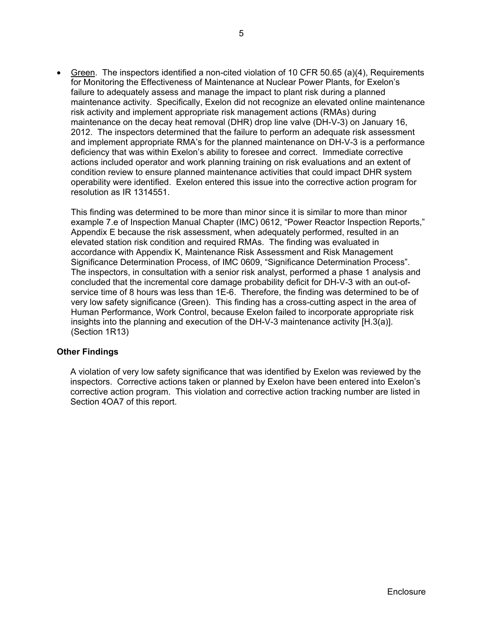• Green. The inspectors identified a non-cited violation of 10 CFR 50.65 (a)(4), Requirements for Monitoring the Effectiveness of Maintenance at Nuclear Power Plants, for Exelon's failure to adequately assess and manage the impact to plant risk during a planned maintenance activity. Specifically, Exelon did not recognize an elevated online maintenance risk activity and implement appropriate risk management actions (RMAs) during maintenance on the decay heat removal (DHR) drop line valve (DH-V-3) on January 16, 2012. The inspectors determined that the failure to perform an adequate risk assessment and implement appropriate RMA's for the planned maintenance on DH-V-3 is a performance deficiency that was within Exelon's ability to foresee and correct. Immediate corrective actions included operator and work planning training on risk evaluations and an extent of condition review to ensure planned maintenance activities that could impact DHR system operability were identified. Exelon entered this issue into the corrective action program for resolution as IR 1314551.

This finding was determined to be more than minor since it is similar to more than minor example 7.e of Inspection Manual Chapter (IMC) 0612, "Power Reactor Inspection Reports," Appendix E because the risk assessment, when adequately performed, resulted in an elevated station risk condition and required RMAs. The finding was evaluated in accordance with Appendix K, Maintenance Risk Assessment and Risk Management Significance Determination Process, of IMC 0609, "Significance Determination Process". The inspectors, in consultation with a senior risk analyst, performed a phase 1 analysis and concluded that the incremental core damage probability deficit for DH-V-3 with an out-ofservice time of 8 hours was less than 1E-6. Therefore, the finding was determined to be of very low safety significance (Green). This finding has a cross-cutting aspect in the area of Human Performance, Work Control, because Exelon failed to incorporate appropriate risk insights into the planning and execution of the DH-V-3 maintenance activity [H.3(a)]. (Section 1R13)

## **Other Findings**

A violation of very low safety significance that was identified by Exelon was reviewed by the inspectors. Corrective actions taken or planned by Exelon have been entered into Exelon's corrective action program. This violation and corrective action tracking number are listed in Section 4OA7 of this report.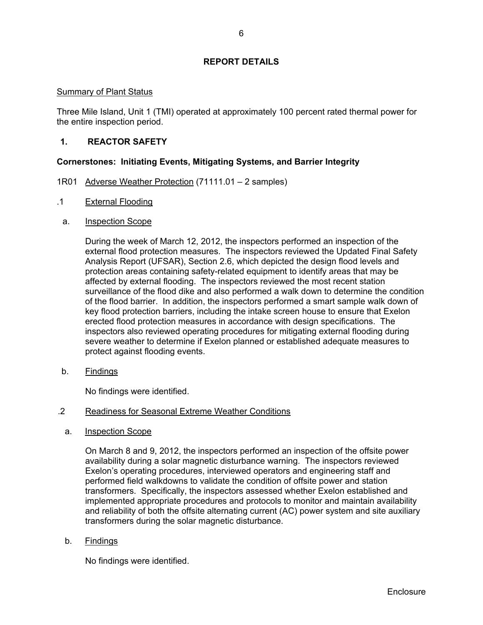## **REPORT DETAILS**

## Summary of Plant Status

Three Mile Island, Unit 1 (TMI) operated at approximately 100 percent rated thermal power for the entire inspection period.

## **1. REACTOR SAFETY**

## **Cornerstones: Initiating Events, Mitigating Systems, and Barrier Integrity**

- 1R01 Adverse Weather Protection (71111.01 2 samples)
- .1 External Flooding
	- a. Inspection Scope

During the week of March 12, 2012, the inspectors performed an inspection of the external flood protection measures. The inspectors reviewed the Updated Final Safety Analysis Report (UFSAR), Section 2.6, which depicted the design flood levels and protection areas containing safety-related equipment to identify areas that may be affected by external flooding. The inspectors reviewed the most recent station surveillance of the flood dike and also performed a walk down to determine the condition of the flood barrier. In addition, the inspectors performed a smart sample walk down of key flood protection barriers, including the intake screen house to ensure that Exelon erected flood protection measures in accordance with design specifications. The inspectors also reviewed operating procedures for mitigating external flooding during severe weather to determine if Exelon planned or established adequate measures to protect against flooding events.

b. Findings

No findings were identified.

## .2 Readiness for Seasonal Extreme Weather Conditions

a. Inspection Scope

On March 8 and 9, 2012, the inspectors performed an inspection of the offsite power availability during a solar magnetic disturbance warning. The inspectors reviewed Exelon's operating procedures, interviewed operators and engineering staff and performed field walkdowns to validate the condition of offsite power and station transformers. Specifically, the inspectors assessed whether Exelon established and implemented appropriate procedures and protocols to monitor and maintain availability and reliability of both the offsite alternating current (AC) power system and site auxiliary transformers during the solar magnetic disturbance.

b. Findings

No findings were identified.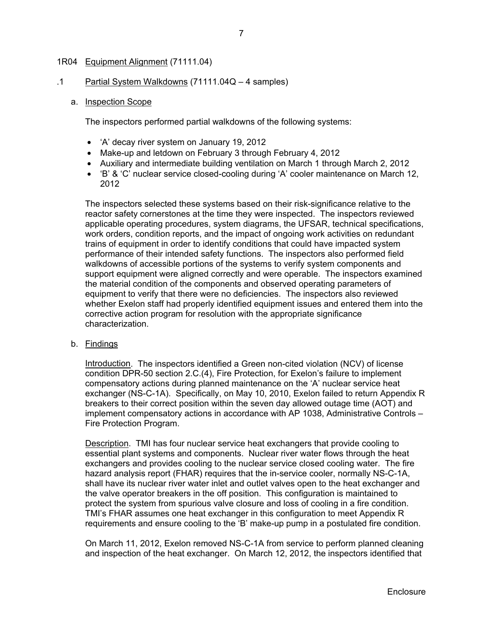## 1R04 Equipment Alignment (71111.04)

.1 Partial System Walkdowns (71111.04Q – 4 samples)

#### a. Inspection Scope

The inspectors performed partial walkdowns of the following systems:

- 'A' decay river system on January 19, 2012
- Make-up and letdown on February 3 through February 4, 2012
- Auxiliary and intermediate building ventilation on March 1 through March 2, 2012
- 'B' & 'C' nuclear service closed-cooling during 'A' cooler maintenance on March 12, 2012

The inspectors selected these systems based on their risk-significance relative to the reactor safety cornerstones at the time they were inspected. The inspectors reviewed applicable operating procedures, system diagrams, the UFSAR, technical specifications, work orders, condition reports, and the impact of ongoing work activities on redundant trains of equipment in order to identify conditions that could have impacted system performance of their intended safety functions. The inspectors also performed field walkdowns of accessible portions of the systems to verify system components and support equipment were aligned correctly and were operable. The inspectors examined the material condition of the components and observed operating parameters of equipment to verify that there were no deficiencies. The inspectors also reviewed whether Exelon staff had properly identified equipment issues and entered them into the corrective action program for resolution with the appropriate significance characterization.

## b. Findings

Introduction. The inspectors identified a Green non-cited violation (NCV) of license condition DPR-50 section 2.C.(4), Fire Protection, for Exelon's failure to implement compensatory actions during planned maintenance on the 'A' nuclear service heat exchanger (NS-C-1A). Specifically, on May 10, 2010, Exelon failed to return Appendix R breakers to their correct position within the seven day allowed outage time (AOT) and implement compensatory actions in accordance with AP 1038, Administrative Controls – Fire Protection Program.

Description. TMI has four nuclear service heat exchangers that provide cooling to essential plant systems and components. Nuclear river water flows through the heat exchangers and provides cooling to the nuclear service closed cooling water. The fire hazard analysis report (FHAR) requires that the in-service cooler, normally NS-C-1A, shall have its nuclear river water inlet and outlet valves open to the heat exchanger and the valve operator breakers in the off position. This configuration is maintained to protect the system from spurious valve closure and loss of cooling in a fire condition. TMI's FHAR assumes one heat exchanger in this configuration to meet Appendix R requirements and ensure cooling to the 'B' make-up pump in a postulated fire condition.

On March 11, 2012, Exelon removed NS-C-1A from service to perform planned cleaning and inspection of the heat exchanger. On March 12, 2012, the inspectors identified that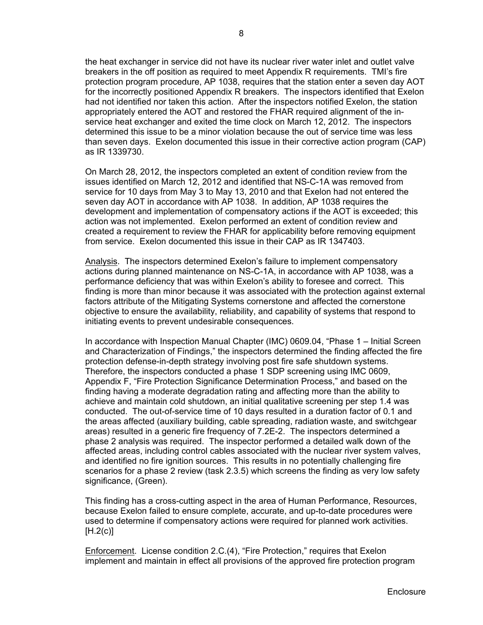the heat exchanger in service did not have its nuclear river water inlet and outlet valve breakers in the off position as required to meet Appendix R requirements. TMI's fire protection program procedure, AP 1038, requires that the station enter a seven day AOT for the incorrectly positioned Appendix R breakers. The inspectors identified that Exelon had not identified nor taken this action. After the inspectors notified Exelon, the station appropriately entered the AOT and restored the FHAR required alignment of the inservice heat exchanger and exited the time clock on March 12, 2012. The inspectors determined this issue to be a minor violation because the out of service time was less than seven days. Exelon documented this issue in their corrective action program (CAP) as IR 1339730.

On March 28, 2012, the inspectors completed an extent of condition review from the issues identified on March 12, 2012 and identified that NS-C-1A was removed from service for 10 days from May 3 to May 13, 2010 and that Exelon had not entered the seven day AOT in accordance with AP 1038. In addition, AP 1038 requires the development and implementation of compensatory actions if the AOT is exceeded; this action was not implemented. Exelon performed an extent of condition review and created a requirement to review the FHAR for applicability before removing equipment from service. Exelon documented this issue in their CAP as IR 1347403.

Analysis. The inspectors determined Exelon's failure to implement compensatory actions during planned maintenance on NS-C-1A, in accordance with AP 1038, was a performance deficiency that was within Exelon's ability to foresee and correct. This finding is more than minor because it was associated with the protection against external factors attribute of the Mitigating Systems cornerstone and affected the cornerstone objective to ensure the availability, reliability, and capability of systems that respond to initiating events to prevent undesirable consequences.

In accordance with Inspection Manual Chapter (IMC) 0609.04, "Phase 1 – Initial Screen and Characterization of Findings," the inspectors determined the finding affected the fire protection defense-in-depth strategy involving post fire safe shutdown systems. Therefore, the inspectors conducted a phase 1 SDP screening using IMC 0609, Appendix F, "Fire Protection Significance Determination Process," and based on the finding having a moderate degradation rating and affecting more than the ability to achieve and maintain cold shutdown, an initial qualitative screening per step 1.4 was conducted. The out-of-service time of 10 days resulted in a duration factor of 0.1 and the areas affected (auxiliary building, cable spreading, radiation waste, and switchgear areas) resulted in a generic fire frequency of 7.2E-2. The inspectors determined a phase 2 analysis was required. The inspector performed a detailed walk down of the affected areas, including control cables associated with the nuclear river system valves, and identified no fire ignition sources. This results in no potentially challenging fire scenarios for a phase 2 review (task 2.3.5) which screens the finding as very low safety significance, (Green).

This finding has a cross-cutting aspect in the area of Human Performance, Resources, because Exelon failed to ensure complete, accurate, and up-to-date procedures were used to determine if compensatory actions were required for planned work activities.  $[H.2(c)]$ 

Enforcement. License condition 2.C.(4), "Fire Protection," requires that Exelon implement and maintain in effect all provisions of the approved fire protection program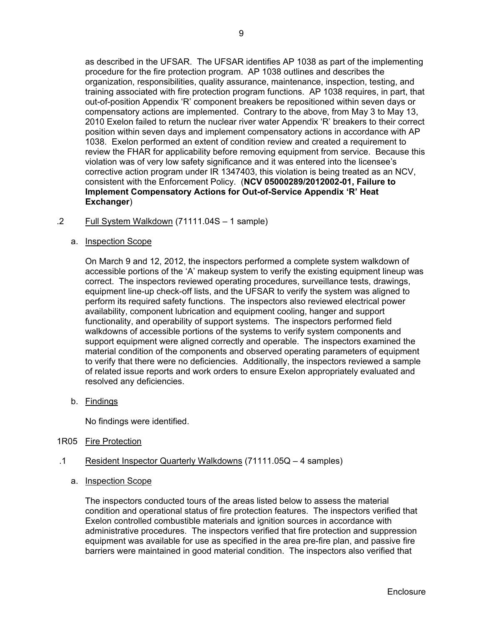as described in the UFSAR. The UFSAR identifies AP 1038 as part of the implementing procedure for the fire protection program. AP 1038 outlines and describes the organization, responsibilities, quality assurance, maintenance, inspection, testing, and training associated with fire protection program functions. AP 1038 requires, in part, that out-of-position Appendix 'R' component breakers be repositioned within seven days or compensatory actions are implemented. Contrary to the above, from May 3 to May 13, 2010 Exelon failed to return the nuclear river water Appendix 'R' breakers to their correct position within seven days and implement compensatory actions in accordance with AP 1038. Exelon performed an extent of condition review and created a requirement to review the FHAR for applicability before removing equipment from service. Because this violation was of very low safety significance and it was entered into the licensee's corrective action program under IR 1347403, this violation is being treated as an NCV, consistent with the Enforcement Policy. (**NCV 05000289/2012002-01, Failure to Implement Compensatory Actions for Out-of-Service Appendix 'R' Heat Exchanger**)

- .2 Full System Walkdown (71111.04S 1 sample)
	- a. Inspection Scope

On March 9 and 12, 2012, the inspectors performed a complete system walkdown of accessible portions of the 'A' makeup system to verify the existing equipment lineup was correct. The inspectors reviewed operating procedures, surveillance tests, drawings, equipment line-up check-off lists, and the UFSAR to verify the system was aligned to perform its required safety functions. The inspectors also reviewed electrical power availability, component lubrication and equipment cooling, hanger and support functionality, and operability of support systems. The inspectors performed field walkdowns of accessible portions of the systems to verify system components and support equipment were aligned correctly and operable. The inspectors examined the material condition of the components and observed operating parameters of equipment to verify that there were no deficiencies. Additionally, the inspectors reviewed a sample of related issue reports and work orders to ensure Exelon appropriately evaluated and resolved any deficiencies.

b. Findings

No findings were identified.

- 1R05 Fire Protection
- .1 Resident Inspector Quarterly Walkdowns (71111.05Q 4 samples)
	- a. Inspection Scope

The inspectors conducted tours of the areas listed below to assess the material condition and operational status of fire protection features. The inspectors verified that Exelon controlled combustible materials and ignition sources in accordance with administrative procedures. The inspectors verified that fire protection and suppression equipment was available for use as specified in the area pre-fire plan, and passive fire barriers were maintained in good material condition. The inspectors also verified that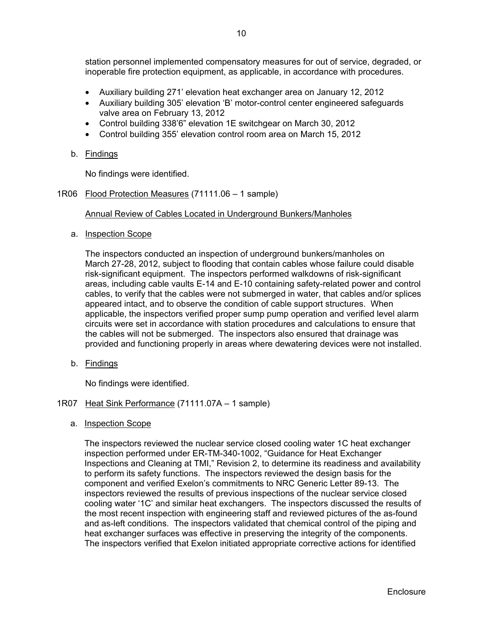- Auxiliary building 271' elevation heat exchanger area on January 12, 2012
- Auxiliary building 305' elevation 'B' motor-control center engineered safeguards valve area on February 13, 2012
- Control building 338'6" elevation 1E switchgear on March 30, 2012
- Control building 355' elevation control room area on March 15, 2012
- b. Findings

No findings were identified.

1R06 Flood Protection Measures (71111.06 – 1 sample)

## Annual Review of Cables Located in Underground Bunkers/Manholes

a. Inspection Scope

The inspectors conducted an inspection of underground bunkers/manholes on March 27-28, 2012, subject to flooding that contain cables whose failure could disable risk-significant equipment. The inspectors performed walkdowns of risk-significant areas, including cable vaults E-14 and E-10 containing safety-related power and control cables, to verify that the cables were not submerged in water, that cables and/or splices appeared intact, and to observe the condition of cable support structures. When applicable, the inspectors verified proper sump pump operation and verified level alarm circuits were set in accordance with station procedures and calculations to ensure that the cables will not be submerged. The inspectors also ensured that drainage was provided and functioning properly in areas where dewatering devices were not installed.

b. Findings

No findings were identified.

- 1R07 Heat Sink Performance (71111.07A 1 sample)
	- a. Inspection Scope

The inspectors reviewed the nuclear service closed cooling water 1C heat exchanger inspection performed under ER-TM-340-1002, "Guidance for Heat Exchanger Inspections and Cleaning at TMI," Revision 2, to determine its readiness and availability to perform its safety functions. The inspectors reviewed the design basis for the component and verified Exelon's commitments to NRC Generic Letter 89-13. The inspectors reviewed the results of previous inspections of the nuclear service closed cooling water '1C' and similar heat exchangers. The inspectors discussed the results of the most recent inspection with engineering staff and reviewed pictures of the as-found and as-left conditions. The inspectors validated that chemical control of the piping and heat exchanger surfaces was effective in preserving the integrity of the components. The inspectors verified that Exelon initiated appropriate corrective actions for identified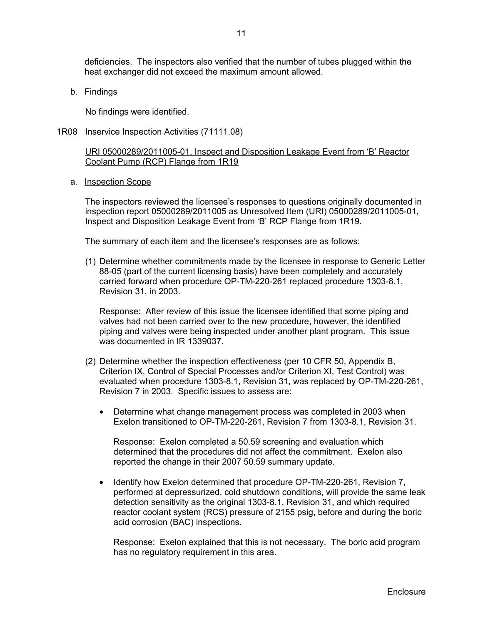deficiencies. The inspectors also verified that the number of tubes plugged within the heat exchanger did not exceed the maximum amount allowed.

b. Findings

No findings were identified.

1R08 Inservice Inspection Activities (71111.08)

URI 05000289/2011005-01, Inspect and Disposition Leakage Event from 'B' Reactor Coolant Pump (RCP) Flange from 1R19

a. Inspection Scope

 The inspectors reviewed the licensee's responses to questions originally documented in inspection report 05000289/2011005 as Unresolved Item (URI) 05000289/2011005-01**,**  Inspect and Disposition Leakage Event from 'B' RCP Flange from 1R19.

The summary of each item and the licensee's responses are as follows:

(1) Determine whether commitments made by the licensee in response to Generic Letter 88-05 (part of the current licensing basis) have been completely and accurately carried forward when procedure OP-TM-220-261 replaced procedure 1303-8.1, Revision 31, in 2003.

Response: After review of this issue the licensee identified that some piping and valves had not been carried over to the new procedure, however, the identified piping and valves were being inspected under another plant program. This issue was documented in IR 1339037.

- (2) Determine whether the inspection effectiveness (per 10 CFR 50, Appendix B, Criterion IX, Control of Special Processes and/or Criterion XI, Test Control) was evaluated when procedure 1303-8.1, Revision 31, was replaced by OP-TM-220-261, Revision 7 in 2003. Specific issues to assess are:
	- Determine what change management process was completed in 2003 when Exelon transitioned to OP-TM-220-261, Revision 7 from 1303-8.1, Revision 31.

Response: Exelon completed a 50.59 screening and evaluation which determined that the procedures did not affect the commitment. Exelon also reported the change in their 2007 50.59 summary update.

• Identify how Exelon determined that procedure OP-TM-220-261, Revision 7, performed at depressurized, cold shutdown conditions, will provide the same leak detection sensitivity as the original 1303-8.1, Revision 31, and which required reactor coolant system (RCS) pressure of 2155 psig, before and during the boric acid corrosion (BAC) inspections.

Response: Exelon explained that this is not necessary. The boric acid program has no regulatory requirement in this area.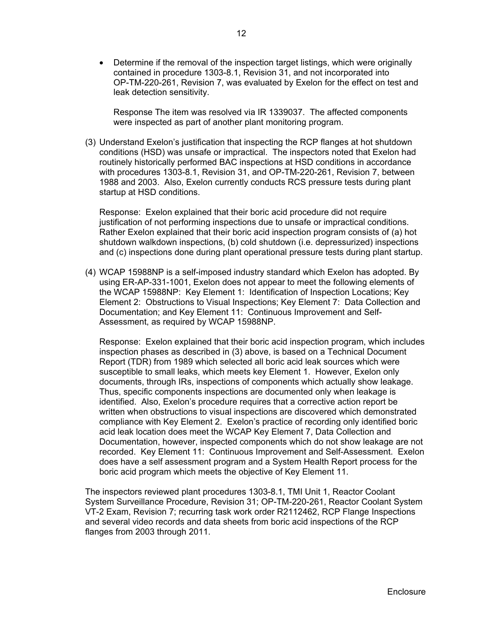• Determine if the removal of the inspection target listings, which were originally contained in procedure 1303-8.1, Revision 31, and not incorporated into OP-TM-220-261, Revision 7, was evaluated by Exelon for the effect on test and leak detection sensitivity.

Response The item was resolved via IR 1339037. The affected components were inspected as part of another plant monitoring program.

(3) Understand Exelon's justification that inspecting the RCP flanges at hot shutdown conditions (HSD) was unsafe or impractical. The inspectors noted that Exelon had routinely historically performed BAC inspections at HSD conditions in accordance with procedures 1303-8.1, Revision 31, and OP-TM-220-261, Revision 7, between 1988 and 2003. Also, Exelon currently conducts RCS pressure tests during plant startup at HSD conditions.

Response: Exelon explained that their boric acid procedure did not require justification of not performing inspections due to unsafe or impractical conditions. Rather Exelon explained that their boric acid inspection program consists of (a) hot shutdown walkdown inspections, (b) cold shutdown (i.e. depressurized) inspections and (c) inspections done during plant operational pressure tests during plant startup.

(4) WCAP 15988NP is a self-imposed industry standard which Exelon has adopted. By using ER-AP-331-1001, Exelon does not appear to meet the following elements of the WCAP 15988NP: Key Element 1: Identification of Inspection Locations; Key Element 2: Obstructions to Visual Inspections; Key Element 7: Data Collection and Documentation; and Key Element 11: Continuous Improvement and Self-Assessment, as required by WCAP 15988NP.

Response: Exelon explained that their boric acid inspection program, which includes inspection phases as described in (3) above, is based on a Technical Document Report (TDR) from 1989 which selected all boric acid leak sources which were susceptible to small leaks, which meets key Element 1. However, Exelon only documents, through IRs, inspections of components which actually show leakage. Thus, specific components inspections are documented only when leakage is identified. Also, Exelon's procedure requires that a corrective action report be written when obstructions to visual inspections are discovered which demonstrated compliance with Key Element 2. Exelon's practice of recording only identified boric acid leak location does meet the WCAP Key Element 7, Data Collection and Documentation, however, inspected components which do not show leakage are not recorded. Key Element 11: Continuous Improvement and Self-Assessment. Exelon does have a self assessment program and a System Health Report process for the boric acid program which meets the objective of Key Element 11.

The inspectors reviewed plant procedures 1303-8.1, TMI Unit 1, Reactor Coolant System Surveillance Procedure, Revision 31; OP-TM-220-261, Reactor Coolant System VT-2 Exam, Revision 7; recurring task work order R2112462, RCP Flange Inspections and several video records and data sheets from boric acid inspections of the RCP flanges from 2003 through 2011.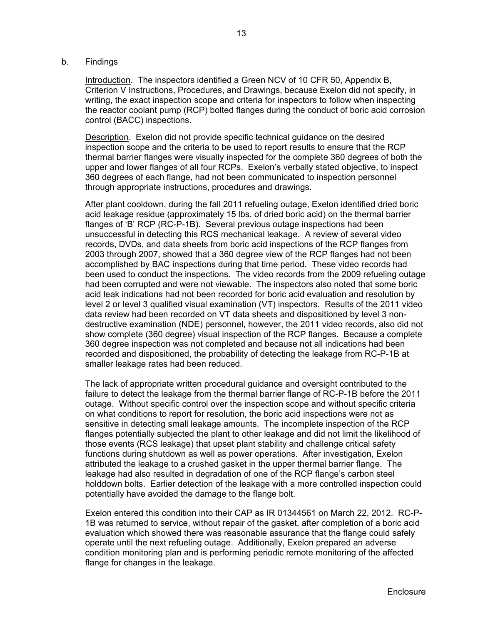#### b. Findings

Introduction. The inspectors identified a Green NCV of 10 CFR 50, Appendix B, Criterion V Instructions, Procedures, and Drawings, because Exelon did not specify, in writing, the exact inspection scope and criteria for inspectors to follow when inspecting the reactor coolant pump (RCP) bolted flanges during the conduct of boric acid corrosion control (BACC) inspections.

Description. Exelon did not provide specific technical guidance on the desired inspection scope and the criteria to be used to report results to ensure that the RCP thermal barrier flanges were visually inspected for the complete 360 degrees of both the upper and lower flanges of all four RCPs. Exelon's verbally stated objective, to inspect 360 degrees of each flange, had not been communicated to inspection personnel through appropriate instructions, procedures and drawings.

After plant cooldown, during the fall 2011 refueling outage, Exelon identified dried boric acid leakage residue (approximately 15 lbs. of dried boric acid) on the thermal barrier flanges of 'B' RCP (RC-P-1B). Several previous outage inspections had been unsuccessful in detecting this RCS mechanical leakage. A review of several video records, DVDs, and data sheets from boric acid inspections of the RCP flanges from 2003 through 2007, showed that a 360 degree view of the RCP flanges had not been accomplished by BAC inspections during that time period. These video records had been used to conduct the inspections. The video records from the 2009 refueling outage had been corrupted and were not viewable. The inspectors also noted that some boric acid leak indications had not been recorded for boric acid evaluation and resolution by level 2 or level 3 qualified visual examination (VT) inspectors. Results of the 2011 video data review had been recorded on VT data sheets and dispositioned by level 3 nondestructive examination (NDE) personnel, however, the 2011 video records, also did not show complete (360 degree) visual inspection of the RCP flanges. Because a complete 360 degree inspection was not completed and because not all indications had been recorded and dispositioned, the probability of detecting the leakage from RC-P-1B at smaller leakage rates had been reduced.

The lack of appropriate written procedural guidance and oversight contributed to the failure to detect the leakage from the thermal barrier flange of RC-P-1B before the 2011 outage. Without specific control over the inspection scope and without specific criteria on what conditions to report for resolution, the boric acid inspections were not as sensitive in detecting small leakage amounts. The incomplete inspection of the RCP flanges potentially subjected the plant to other leakage and did not limit the likelihood of those events (RCS leakage) that upset plant stability and challenge critical safety functions during shutdown as well as power operations. After investigation, Exelon attributed the leakage to a crushed gasket in the upper thermal barrier flange. The leakage had also resulted in degradation of one of the RCP flange's carbon steel holddown bolts. Earlier detection of the leakage with a more controlled inspection could potentially have avoided the damage to the flange bolt.

Exelon entered this condition into their CAP as IR 01344561 on March 22, 2012. RC-P-1B was returned to service, without repair of the gasket, after completion of a boric acid evaluation which showed there was reasonable assurance that the flange could safely operate until the next refueling outage. Additionally, Exelon prepared an adverse condition monitoring plan and is performing periodic remote monitoring of the affected flange for changes in the leakage.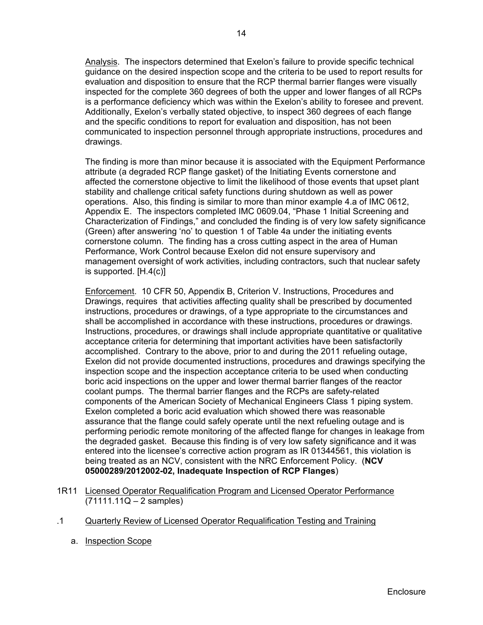Analysis. The inspectors determined that Exelon's failure to provide specific technical guidance on the desired inspection scope and the criteria to be used to report results for evaluation and disposition to ensure that the RCP thermal barrier flanges were visually inspected for the complete 360 degrees of both the upper and lower flanges of all RCPs is a performance deficiency which was within the Exelon's ability to foresee and prevent. Additionally, Exelon's verbally stated objective, to inspect 360 degrees of each flange and the specific conditions to report for evaluation and disposition, has not been communicated to inspection personnel through appropriate instructions, procedures and drawings.

The finding is more than minor because it is associated with the Equipment Performance attribute (a degraded RCP flange gasket) of the Initiating Events cornerstone and affected the cornerstone objective to limit the likelihood of those events that upset plant stability and challenge critical safety functions during shutdown as well as power operations. Also, this finding is similar to more than minor example 4.a of IMC 0612, Appendix E. The inspectors completed IMC 0609.04, "Phase 1 Initial Screening and Characterization of Findings," and concluded the finding is of very low safety significance (Green) after answering 'no' to question 1 of Table 4a under the initiating events cornerstone column. The finding has a cross cutting aspect in the area of Human Performance, Work Control because Exelon did not ensure supervisory and management oversight of work activities, including contractors, such that nuclear safety is supported. [H.4(c)]

Enforcement. 10 CFR 50, Appendix B, Criterion V. Instructions, Procedures and Drawings, requires that activities affecting quality shall be prescribed by documented instructions, procedures or drawings, of a type appropriate to the circumstances and shall be accomplished in accordance with these instructions, procedures or drawings. Instructions, procedures, or drawings shall include appropriate quantitative or qualitative acceptance criteria for determining that important activities have been satisfactorily accomplished. Contrary to the above, prior to and during the 2011 refueling outage, Exelon did not provide documented instructions, procedures and drawings specifying the inspection scope and the inspection acceptance criteria to be used when conducting boric acid inspections on the upper and lower thermal barrier flanges of the reactor coolant pumps. The thermal barrier flanges and the RCPs are safety-related components of the American Society of Mechanical Engineers Class 1 piping system. Exelon completed a boric acid evaluation which showed there was reasonable assurance that the flange could safely operate until the next refueling outage and is performing periodic remote monitoring of the affected flange for changes in leakage from the degraded gasket. Because this finding is of very low safety significance and it was entered into the licensee's corrective action program as IR 01344561, this violation is being treated as an NCV, consistent with the NRC Enforcement Policy. (**NCV 05000289/2012002-02, Inadequate Inspection of RCP Flanges**)

- 1R11 Licensed Operator Requalification Program and Licensed Operator Performance (71111.11Q – 2 samples)
- .1 Quarterly Review of Licensed Operator Requalification Testing and Training
	- a. Inspection Scope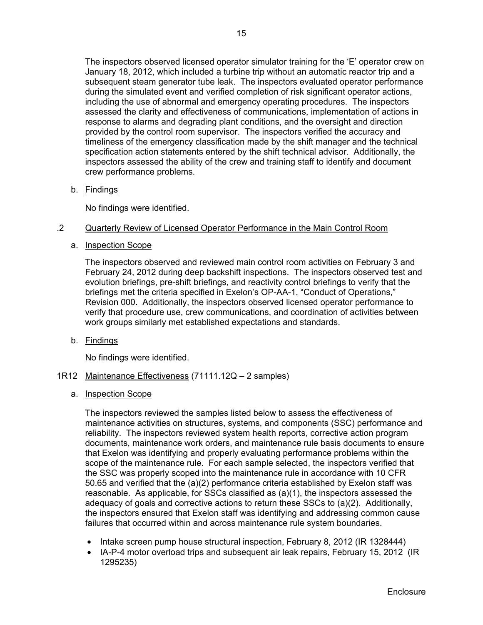The inspectors observed licensed operator simulator training for the 'E' operator crew on January 18, 2012, which included a turbine trip without an automatic reactor trip and a subsequent steam generator tube leak. The inspectors evaluated operator performance during the simulated event and verified completion of risk significant operator actions, including the use of abnormal and emergency operating procedures. The inspectors assessed the clarity and effectiveness of communications, implementation of actions in response to alarms and degrading plant conditions, and the oversight and direction provided by the control room supervisor. The inspectors verified the accuracy and timeliness of the emergency classification made by the shift manager and the technical specification action statements entered by the shift technical advisor. Additionally, the inspectors assessed the ability of the crew and training staff to identify and document crew performance problems.

b. Findings

No findings were identified.

## .2 Quarterly Review of Licensed Operator Performance in the Main Control Room

a. Inspection Scope

The inspectors observed and reviewed main control room activities on February 3 and February 24, 2012 during deep backshift inspections. The inspectors observed test and evolution briefings, pre-shift briefings, and reactivity control briefings to verify that the briefings met the criteria specified in Exelon's OP-AA-1, "Conduct of Operations," Revision 000. Additionally, the inspectors observed licensed operator performance to verify that procedure use, crew communications, and coordination of activities between work groups similarly met established expectations and standards.

b. Findings

No findings were identified.

- 1R12 Maintenance Effectiveness (71111.12Q 2 samples)
	- a. Inspection Scope

The inspectors reviewed the samples listed below to assess the effectiveness of maintenance activities on structures, systems, and components (SSC) performance and reliability. The inspectors reviewed system health reports, corrective action program documents, maintenance work orders, and maintenance rule basis documents to ensure that Exelon was identifying and properly evaluating performance problems within the scope of the maintenance rule. For each sample selected, the inspectors verified that the SSC was properly scoped into the maintenance rule in accordance with 10 CFR 50.65 and verified that the (a)(2) performance criteria established by Exelon staff was reasonable. As applicable, for SSCs classified as (a)(1), the inspectors assessed the adequacy of goals and corrective actions to return these SSCs to (a)(2). Additionally, the inspectors ensured that Exelon staff was identifying and addressing common cause failures that occurred within and across maintenance rule system boundaries.

- Intake screen pump house structural inspection, February 8, 2012 (IR 1328444)
- IA-P-4 motor overload trips and subsequent air leak repairs, February 15, 2012 (IR 1295235)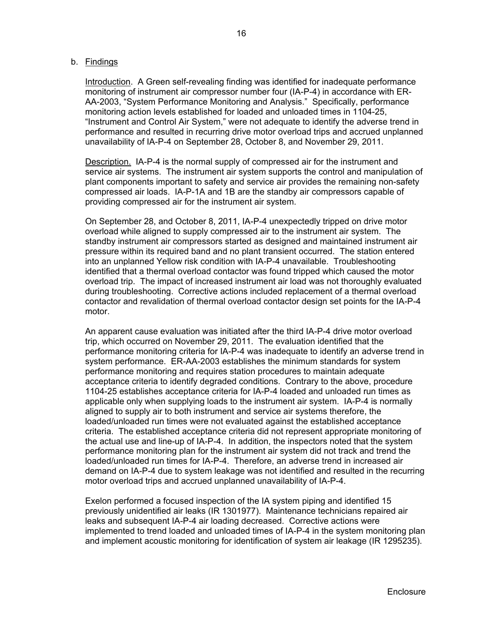### b. Findings

Introduction. A Green self-revealing finding was identified for inadequate performance monitoring of instrument air compressor number four (IA-P-4) in accordance with ER-AA-2003, "System Performance Monitoring and Analysis." Specifically, performance monitoring action levels established for loaded and unloaded times in 1104-25, "Instrument and Control Air System," were not adequate to identify the adverse trend in performance and resulted in recurring drive motor overload trips and accrued unplanned unavailability of IA-P-4 on September 28, October 8, and November 29, 2011.

Description. IA-P-4 is the normal supply of compressed air for the instrument and service air systems. The instrument air system supports the control and manipulation of plant components important to safety and service air provides the remaining non-safety compressed air loads. IA-P-1A and 1B are the standby air compressors capable of providing compressed air for the instrument air system.

On September 28, and October 8, 2011, IA-P-4 unexpectedly tripped on drive motor overload while aligned to supply compressed air to the instrument air system. The standby instrument air compressors started as designed and maintained instrument air pressure within its required band and no plant transient occurred. The station entered into an unplanned Yellow risk condition with IA-P-4 unavailable. Troubleshooting identified that a thermal overload contactor was found tripped which caused the motor overload trip. The impact of increased instrument air load was not thoroughly evaluated during troubleshooting. Corrective actions included replacement of a thermal overload contactor and revalidation of thermal overload contactor design set points for the IA-P-4 motor.

An apparent cause evaluation was initiated after the third IA-P-4 drive motor overload trip, which occurred on November 29, 2011. The evaluation identified that the performance monitoring criteria for IA-P-4 was inadequate to identify an adverse trend in system performance. ER-AA-2003 establishes the minimum standards for system performance monitoring and requires station procedures to maintain adequate acceptance criteria to identify degraded conditions. Contrary to the above, procedure 1104-25 establishes acceptance criteria for IA-P-4 loaded and unloaded run times as applicable only when supplying loads to the instrument air system. IA-P-4 is normally aligned to supply air to both instrument and service air systems therefore, the loaded/unloaded run times were not evaluated against the established acceptance criteria. The established acceptance criteria did not represent appropriate monitoring of the actual use and line-up of IA-P-4. In addition, the inspectors noted that the system performance monitoring plan for the instrument air system did not track and trend the loaded/unloaded run times for IA-P-4. Therefore, an adverse trend in increased air demand on IA-P-4 due to system leakage was not identified and resulted in the recurring motor overload trips and accrued unplanned unavailability of IA-P-4.

Exelon performed a focused inspection of the IA system piping and identified 15 previously unidentified air leaks (IR 1301977). Maintenance technicians repaired air leaks and subsequent IA-P-4 air loading decreased. Corrective actions were implemented to trend loaded and unloaded times of IA-P-4 in the system monitoring plan and implement acoustic monitoring for identification of system air leakage (IR 1295235).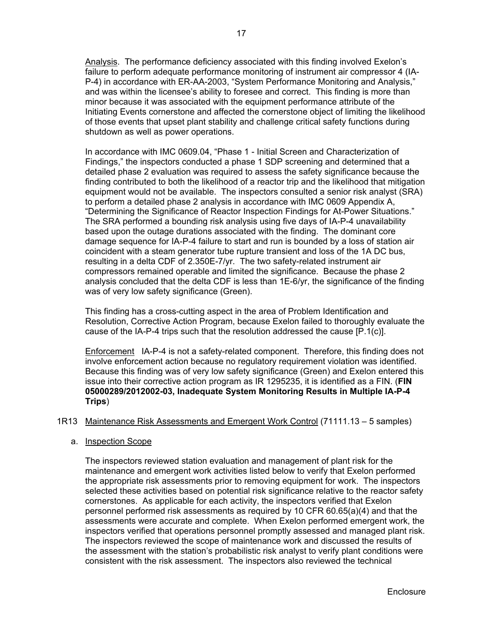Analysis. The performance deficiency associated with this finding involved Exelon's failure to perform adequate performance monitoring of instrument air compressor 4 (IA-P-4) in accordance with ER-AA-2003, "System Performance Monitoring and Analysis," and was within the licensee's ability to foresee and correct. This finding is more than minor because it was associated with the equipment performance attribute of the Initiating Events cornerstone and affected the cornerstone object of limiting the likelihood of those events that upset plant stability and challenge critical safety functions during shutdown as well as power operations.

In accordance with IMC 0609.04, "Phase 1 - Initial Screen and Characterization of Findings," the inspectors conducted a phase 1 SDP screening and determined that a detailed phase 2 evaluation was required to assess the safety significance because the finding contributed to both the likelihood of a reactor trip and the likelihood that mitigation equipment would not be available. The inspectors consulted a senior risk analyst (SRA) to perform a detailed phase 2 analysis in accordance with IMC 0609 Appendix A, "Determining the Significance of Reactor Inspection Findings for At-Power Situations." The SRA performed a bounding risk analysis using five days of IA-P-4 unavailability based upon the outage durations associated with the finding. The dominant core damage sequence for IA-P-4 failure to start and run is bounded by a loss of station air coincident with a steam generator tube rupture transient and loss of the 1A DC bus, resulting in a delta CDF of 2.350E-7/yr. The two safety-related instrument air compressors remained operable and limited the significance. Because the phase 2 analysis concluded that the delta CDF is less than 1E-6/yr, the significance of the finding was of very low safety significance (Green).

This finding has a cross-cutting aspect in the area of Problem Identification and Resolution, Corrective Action Program, because Exelon failed to thoroughly evaluate the cause of the IA-P-4 trips such that the resolution addressed the cause [P.1(c)].

Enforcement IA-P-4 is not a safety-related component. Therefore, this finding does not involve enforcement action because no regulatory requirement violation was identified. Because this finding was of very low safety significance (Green) and Exelon entered this issue into their corrective action program as IR 1295235, it is identified as a FIN. (**FIN 05000289/2012002-03, Inadequate System Monitoring Results in Multiple IA-P-4 Trips**)

## 1R13 Maintenance Risk Assessments and Emergent Work Control (71111.13 – 5 samples)

## a. Inspection Scope

The inspectors reviewed station evaluation and management of plant risk for the maintenance and emergent work activities listed below to verify that Exelon performed the appropriate risk assessments prior to removing equipment for work. The inspectors selected these activities based on potential risk significance relative to the reactor safety cornerstones. As applicable for each activity, the inspectors verified that Exelon personnel performed risk assessments as required by 10 CFR 60.65(a)(4) and that the assessments were accurate and complete. When Exelon performed emergent work, the inspectors verified that operations personnel promptly assessed and managed plant risk. The inspectors reviewed the scope of maintenance work and discussed the results of the assessment with the station's probabilistic risk analyst to verify plant conditions were consistent with the risk assessment. The inspectors also reviewed the technical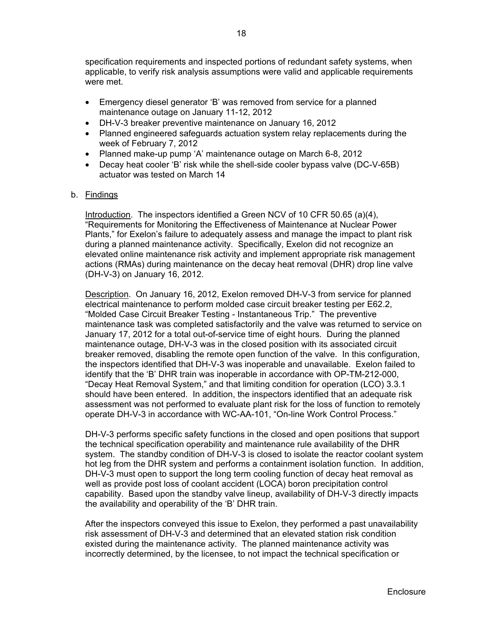specification requirements and inspected portions of redundant safety systems, when applicable, to verify risk analysis assumptions were valid and applicable requirements were met.

- Emergency diesel generator 'B' was removed from service for a planned maintenance outage on January 11-12, 2012
- DH-V-3 breaker preventive maintenance on January 16, 2012
- Planned engineered safeguards actuation system relay replacements during the week of February 7, 2012
- Planned make-up pump 'A' maintenance outage on March 6-8, 2012
- Decay heat cooler 'B' risk while the shell-side cooler bypass valve (DC-V-65B) actuator was tested on March 14

## b. Findings

Introduction. The inspectors identified a Green NCV of 10 CFR 50.65 (a)(4), "Requirements for Monitoring the Effectiveness of Maintenance at Nuclear Power Plants," for Exelon's failure to adequately assess and manage the impact to plant risk during a planned maintenance activity. Specifically, Exelon did not recognize an elevated online maintenance risk activity and implement appropriate risk management actions (RMAs) during maintenance on the decay heat removal (DHR) drop line valve (DH-V-3) on January 16, 2012.

Description. On January 16, 2012, Exelon removed DH-V-3 from service for planned electrical maintenance to perform molded case circuit breaker testing per E62.2, "Molded Case Circuit Breaker Testing - Instantaneous Trip." The preventive maintenance task was completed satisfactorily and the valve was returned to service on January 17, 2012 for a total out-of-service time of eight hours. During the planned maintenance outage, DH-V-3 was in the closed position with its associated circuit breaker removed, disabling the remote open function of the valve. In this configuration, the inspectors identified that DH-V-3 was inoperable and unavailable. Exelon failed to identify that the 'B' DHR train was inoperable in accordance with OP-TM-212-000, "Decay Heat Removal System," and that limiting condition for operation (LCO) 3.3.1 should have been entered. In addition, the inspectors identified that an adequate risk assessment was not performed to evaluate plant risk for the loss of function to remotely operate DH-V-3 in accordance with WC-AA-101, "On-line Work Control Process."

DH-V-3 performs specific safety functions in the closed and open positions that support the technical specification operability and maintenance rule availability of the DHR system. The standby condition of DH-V-3 is closed to isolate the reactor coolant system hot leg from the DHR system and performs a containment isolation function. In addition, DH-V-3 must open to support the long term cooling function of decay heat removal as well as provide post loss of coolant accident (LOCA) boron precipitation control capability. Based upon the standby valve lineup, availability of DH-V-3 directly impacts the availability and operability of the 'B' DHR train.

After the inspectors conveyed this issue to Exelon, they performed a past unavailability risk assessment of DH-V-3 and determined that an elevated station risk condition existed during the maintenance activity. The planned maintenance activity was incorrectly determined, by the licensee, to not impact the technical specification or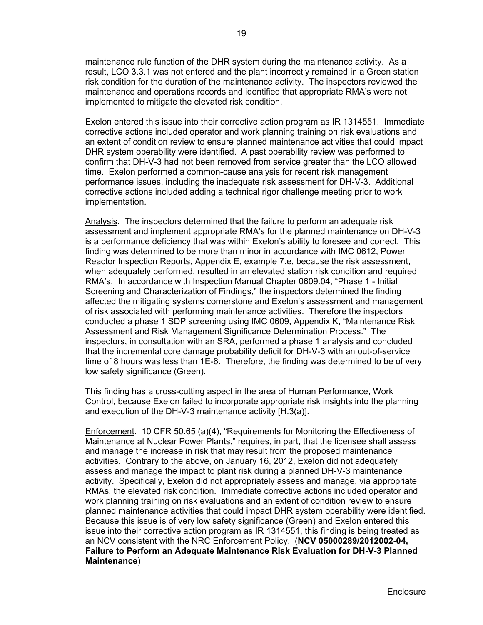maintenance rule function of the DHR system during the maintenance activity. As a result, LCO 3.3.1 was not entered and the plant incorrectly remained in a Green station risk condition for the duration of the maintenance activity. The inspectors reviewed the maintenance and operations records and identified that appropriate RMA's were not implemented to mitigate the elevated risk condition.

Exelon entered this issue into their corrective action program as IR 1314551. Immediate corrective actions included operator and work planning training on risk evaluations and an extent of condition review to ensure planned maintenance activities that could impact DHR system operability were identified. A past operability review was performed to confirm that DH-V-3 had not been removed from service greater than the LCO allowed time. Exelon performed a common-cause analysis for recent risk management performance issues, including the inadequate risk assessment for DH-V-3. Additional corrective actions included adding a technical rigor challenge meeting prior to work implementation.

Analysis. The inspectors determined that the failure to perform an adequate risk assessment and implement appropriate RMA's for the planned maintenance on DH-V-3 is a performance deficiency that was within Exelon's ability to foresee and correct. This finding was determined to be more than minor in accordance with IMC 0612, Power Reactor Inspection Reports, Appendix E, example 7.e, because the risk assessment, when adequately performed, resulted in an elevated station risk condition and required RMA's. In accordance with Inspection Manual Chapter 0609.04, "Phase 1 - Initial Screening and Characterization of Findings," the inspectors determined the finding affected the mitigating systems cornerstone and Exelon's assessment and management of risk associated with performing maintenance activities. Therefore the inspectors conducted a phase 1 SDP screening using IMC 0609, Appendix K, "Maintenance Risk Assessment and Risk Management Significance Determination Process." The inspectors, in consultation with an SRA, performed a phase 1 analysis and concluded that the incremental core damage probability deficit for DH-V-3 with an out-of-service time of 8 hours was less than 1E-6. Therefore, the finding was determined to be of very low safety significance (Green).

This finding has a cross-cutting aspect in the area of Human Performance, Work Control, because Exelon failed to incorporate appropriate risk insights into the planning and execution of the DH-V-3 maintenance activity [H.3(a)].

Enforcement. 10 CFR 50.65 (a)(4), "Requirements for Monitoring the Effectiveness of Maintenance at Nuclear Power Plants," requires, in part, that the licensee shall assess and manage the increase in risk that may result from the proposed maintenance activities. Contrary to the above, on January 16, 2012, Exelon did not adequately assess and manage the impact to plant risk during a planned DH-V-3 maintenance activity. Specifically, Exelon did not appropriately assess and manage, via appropriate RMAs, the elevated risk condition. Immediate corrective actions included operator and work planning training on risk evaluations and an extent of condition review to ensure planned maintenance activities that could impact DHR system operability were identified. Because this issue is of very low safety significance (Green) and Exelon entered this issue into their corrective action program as IR 1314551, this finding is being treated as an NCV consistent with the NRC Enforcement Policy. (**NCV 05000289/2012002-04, Failure to Perform an Adequate Maintenance Risk Evaluation for DH-V-3 Planned Maintenance**)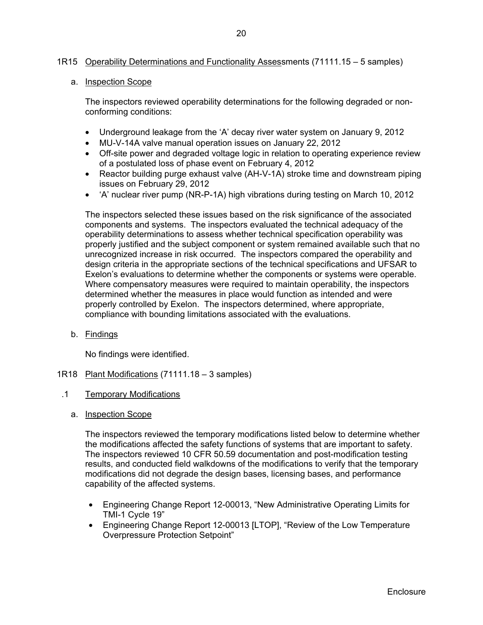## 1R15 Operability Determinations and Functionality Assessments (71111.15 – 5 samples)

#### a. Inspection Scope

The inspectors reviewed operability determinations for the following degraded or nonconforming conditions:

- Underground leakage from the 'A' decay river water system on January 9, 2012
- MU-V-14A valve manual operation issues on January 22, 2012
- Off-site power and degraded voltage logic in relation to operating experience review of a postulated loss of phase event on February 4, 2012
- Reactor building purge exhaust valve (AH-V-1A) stroke time and downstream piping issues on February 29, 2012
- 'A' nuclear river pump (NR-P-1A) high vibrations during testing on March 10, 2012

The inspectors selected these issues based on the risk significance of the associated components and systems. The inspectors evaluated the technical adequacy of the operability determinations to assess whether technical specification operability was properly justified and the subject component or system remained available such that no unrecognized increase in risk occurred. The inspectors compared the operability and design criteria in the appropriate sections of the technical specifications and UFSAR to Exelon's evaluations to determine whether the components or systems were operable. Where compensatory measures were required to maintain operability, the inspectors determined whether the measures in place would function as intended and were properly controlled by Exelon. The inspectors determined, where appropriate, compliance with bounding limitations associated with the evaluations.

b. Findings

No findings were identified.

- 1R18 Plant Modifications (71111.18 3 samples)
- .1 Temporary Modifications
	- a. Inspection Scope

The inspectors reviewed the temporary modifications listed below to determine whether the modifications affected the safety functions of systems that are important to safety. The inspectors reviewed 10 CFR 50.59 documentation and post-modification testing results, and conducted field walkdowns of the modifications to verify that the temporary modifications did not degrade the design bases, licensing bases, and performance capability of the affected systems.

- Engineering Change Report 12-00013, "New Administrative Operating Limits for TMI-1 Cycle 19"
- Engineering Change Report 12-00013 [LTOP], "Review of the Low Temperature Overpressure Protection Setpoint"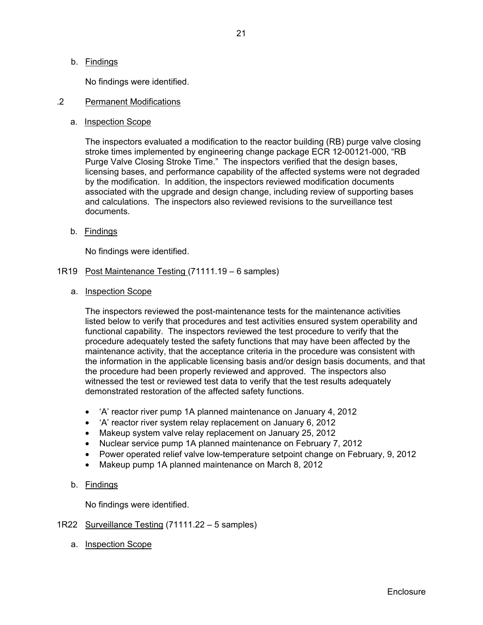## b. Findings

No findings were identified.

#### .2 Permanent Modifications

### a. Inspection Scope

The inspectors evaluated a modification to the reactor building (RB) purge valve closing stroke times implemented by engineering change package ECR 12-00121-000, "RB Purge Valve Closing Stroke Time." The inspectors verified that the design bases, licensing bases, and performance capability of the affected systems were not degraded by the modification. In addition, the inspectors reviewed modification documents associated with the upgrade and design change, including review of supporting bases and calculations. The inspectors also reviewed revisions to the surveillance test documents.

b. Findings

No findings were identified.

- 1R19 Post Maintenance Testing (71111.19 6 samples)
	- a. Inspection Scope

The inspectors reviewed the post-maintenance tests for the maintenance activities listed below to verify that procedures and test activities ensured system operability and functional capability. The inspectors reviewed the test procedure to verify that the procedure adequately tested the safety functions that may have been affected by the maintenance activity, that the acceptance criteria in the procedure was consistent with the information in the applicable licensing basis and/or design basis documents, and that the procedure had been properly reviewed and approved. The inspectors also witnessed the test or reviewed test data to verify that the test results adequately demonstrated restoration of the affected safety functions.

- 'A' reactor river pump 1A planned maintenance on January 4, 2012
- 'A' reactor river system relay replacement on January 6, 2012
- Makeup system valve relay replacement on January 25, 2012
- Nuclear service pump 1A planned maintenance on February 7, 2012
- Power operated relief valve low-temperature setpoint change on February, 9, 2012
- Makeup pump 1A planned maintenance on March 8, 2012

## b. Findings

No findings were identified.

## 1R22 Surveillance Testing (71111.22 – 5 samples)

a. Inspection Scope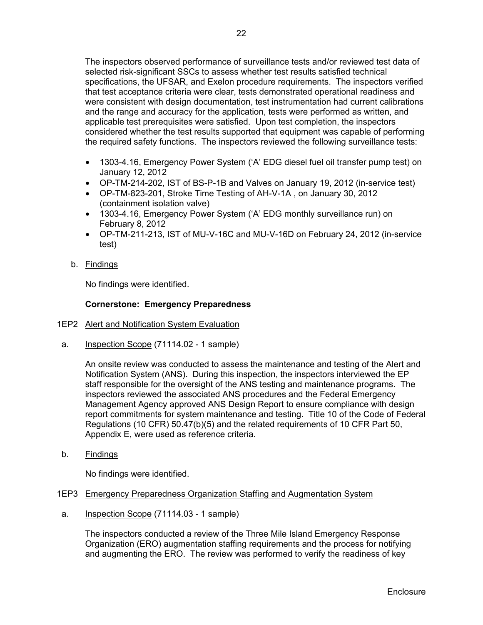The inspectors observed performance of surveillance tests and/or reviewed test data of selected risk-significant SSCs to assess whether test results satisfied technical specifications, the UFSAR, and Exelon procedure requirements. The inspectors verified that test acceptance criteria were clear, tests demonstrated operational readiness and were consistent with design documentation, test instrumentation had current calibrations and the range and accuracy for the application, tests were performed as written, and applicable test prerequisites were satisfied. Upon test completion, the inspectors considered whether the test results supported that equipment was capable of performing the required safety functions. The inspectors reviewed the following surveillance tests:

- 1303-4.16, Emergency Power System ('A' EDG diesel fuel oil transfer pump test) on January 12, 2012
- OP-TM-214-202, IST of BS-P-1B and Valves on January 19, 2012 (in-service test)
- OP-TM-823-201, Stroke Time Testing of AH-V-1A , on January 30, 2012 (containment isolation valve)
- 1303-4.16, Emergency Power System ('A' EDG monthly surveillance run) on February 8, 2012
- OP-TM-211-213, IST of MU-V-16C and MU-V-16D on February 24, 2012 (in-service test)
- b. Findings

No findings were identified.

## **Cornerstone: Emergency Preparedness**

- 1EP2 Alert and Notification System Evaluation
- a. Inspection Scope (71114.02 1 sample)

An onsite review was conducted to assess the maintenance and testing of the Alert and Notification System (ANS). During this inspection, the inspectors interviewed the EP staff responsible for the oversight of the ANS testing and maintenance programs. The inspectors reviewed the associated ANS procedures and the Federal Emergency Management Agency approved ANS Design Report to ensure compliance with design report commitments for system maintenance and testing. Title 10 of the Code of Federal Regulations (10 CFR) 50.47(b)(5) and the related requirements of 10 CFR Part 50, Appendix E, were used as reference criteria.

b. Findings

No findings were identified.

- 1EP3 Emergency Preparedness Organization Staffing and Augmentation System
- a. Inspection Scope (71114.03 1 sample)

The inspectors conducted a review of the Three Mile Island Emergency Response Organization (ERO) augmentation staffing requirements and the process for notifying and augmenting the ERO. The review was performed to verify the readiness of key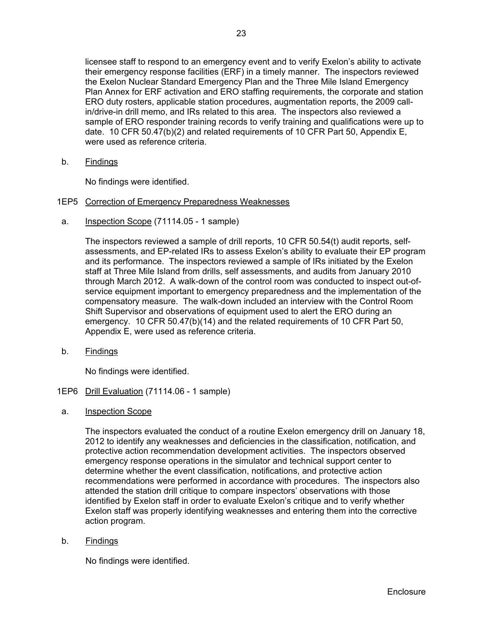licensee staff to respond to an emergency event and to verify Exelon's ability to activate their emergency response facilities (ERF) in a timely manner. The inspectors reviewed the Exelon Nuclear Standard Emergency Plan and the Three Mile Island Emergency Plan Annex for ERF activation and ERO staffing requirements, the corporate and station ERO duty rosters, applicable station procedures, augmentation reports, the 2009 callin/drive-in drill memo, and IRs related to this area. The inspectors also reviewed a sample of ERO responder training records to verify training and qualifications were up to date. 10 CFR 50.47(b)(2) and related requirements of 10 CFR Part 50, Appendix E, were used as reference criteria.

b. Findings

No findings were identified.

## 1EP5 Correction of Emergency Preparedness Weaknesses

a. Inspection Scope (71114.05 - 1 sample)

The inspectors reviewed a sample of drill reports, 10 CFR 50.54(t) audit reports, selfassessments, and EP-related IRs to assess Exelon's ability to evaluate their EP program and its performance. The inspectors reviewed a sample of IRs initiated by the Exelon staff at Three Mile Island from drills, self assessments, and audits from January 2010 through March 2012. A walk-down of the control room was conducted to inspect out-ofservice equipment important to emergency preparedness and the implementation of the compensatory measure. The walk-down included an interview with the Control Room Shift Supervisor and observations of equipment used to alert the ERO during an emergency. 10 CFR 50.47(b)(14) and the related requirements of 10 CFR Part 50, Appendix E, were used as reference criteria.

b. Findings

No findings were identified.

- 1EP6 Drill Evaluation (71114.06 1 sample)
- a. Inspection Scope

The inspectors evaluated the conduct of a routine Exelon emergency drill on January 18, 2012 to identify any weaknesses and deficiencies in the classification, notification, and protective action recommendation development activities. The inspectors observed emergency response operations in the simulator and technical support center to determine whether the event classification, notifications, and protective action recommendations were performed in accordance with procedures. The inspectors also attended the station drill critique to compare inspectors' observations with those identified by Exelon staff in order to evaluate Exelon's critique and to verify whether Exelon staff was properly identifying weaknesses and entering them into the corrective action program.

b. Findings

No findings were identified.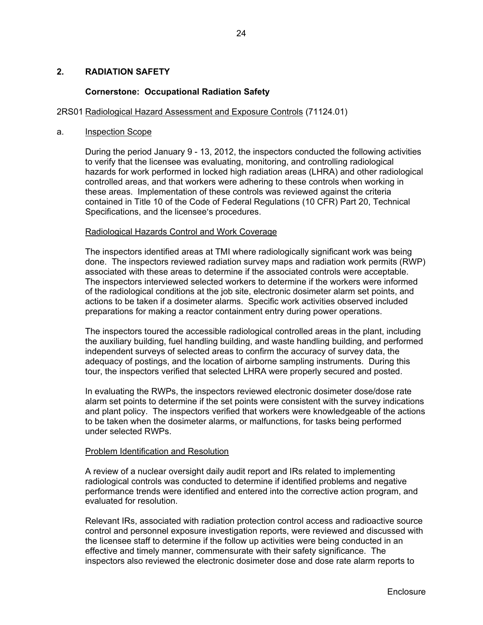### **2. RADIATION SAFETY**

#### **Cornerstone: Occupational Radiation Safety**

#### 2RS01 Radiological Hazard Assessment and Exposure Controls (71124.01)

#### a. Inspection Scope

During the period January 9 - 13, 2012, the inspectors conducted the following activities to verify that the licensee was evaluating, monitoring, and controlling radiological hazards for work performed in locked high radiation areas (LHRA) and other radiological controlled areas, and that workers were adhering to these controls when working in these areas. Implementation of these controls was reviewed against the criteria contained in Title 10 of the Code of Federal Regulations (10 CFR) Part 20, Technical Specifications, and the licensee's procedures.

#### Radiological Hazards Control and Work Coverage

 The inspectors identified areas at TMI where radiologically significant work was being done. The inspectors reviewed radiation survey maps and radiation work permits (RWP) associated with these areas to determine if the associated controls were acceptable. The inspectors interviewed selected workers to determine if the workers were informed of the radiological conditions at the job site, electronic dosimeter alarm set points, and actions to be taken if a dosimeter alarms. Specific work activities observed included preparations for making a reactor containment entry during power operations.

 The inspectors toured the accessible radiological controlled areas in the plant, including the auxiliary building, fuel handling building, and waste handling building, and performed independent surveys of selected areas to confirm the accuracy of survey data, the adequacy of postings, and the location of airborne sampling instruments. During this tour, the inspectors verified that selected LHRA were properly secured and posted.

 In evaluating the RWPs, the inspectors reviewed electronic dosimeter dose/dose rate alarm set points to determine if the set points were consistent with the survey indications and plant policy. The inspectors verified that workers were knowledgeable of the actions to be taken when the dosimeter alarms, or malfunctions, for tasks being performed under selected RWPs.

#### Problem Identification and Resolution

 A review of a nuclear oversight daily audit report and IRs related to implementing radiological controls was conducted to determine if identified problems and negative performance trends were identified and entered into the corrective action program, and evaluated for resolution.

 Relevant IRs, associated with radiation protection control access and radioactive source control and personnel exposure investigation reports, were reviewed and discussed with the licensee staff to determine if the follow up activities were being conducted in an effective and timely manner, commensurate with their safety significance. The inspectors also reviewed the electronic dosimeter dose and dose rate alarm reports to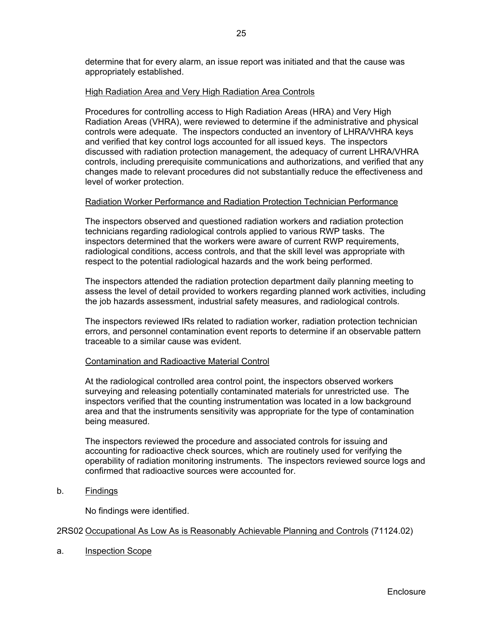determine that for every alarm, an issue report was initiated and that the cause was appropriately established.

### High Radiation Area and Very High Radiation Area Controls

 Procedures for controlling access to High Radiation Areas (HRA) and Very High Radiation Areas (VHRA), were reviewed to determine if the administrative and physical controls were adequate. The inspectors conducted an inventory of LHRA/VHRA keys and verified that key control logs accounted for all issued keys. The inspectors discussed with radiation protection management, the adequacy of current LHRA/VHRA controls, including prerequisite communications and authorizations, and verified that any changes made to relevant procedures did not substantially reduce the effectiveness and level of worker protection.

#### Radiation Worker Performance and Radiation Protection Technician Performance

 The inspectors observed and questioned radiation workers and radiation protection technicians regarding radiological controls applied to various RWP tasks. The inspectors determined that the workers were aware of current RWP requirements, radiological conditions, access controls, and that the skill level was appropriate with respect to the potential radiological hazards and the work being performed.

 The inspectors attended the radiation protection department daily planning meeting to assess the level of detail provided to workers regarding planned work activities, including the job hazards assessment, industrial safety measures, and radiological controls.

 The inspectors reviewed IRs related to radiation worker, radiation protection technician errors, and personnel contamination event reports to determine if an observable pattern traceable to a similar cause was evident.

## Contamination and Radioactive Material Control

 At the radiological controlled area control point, the inspectors observed workers surveying and releasing potentially contaminated materials for unrestricted use. The inspectors verified that the counting instrumentation was located in a low background area and that the instruments sensitivity was appropriate for the type of contamination being measured.

 The inspectors reviewed the procedure and associated controls for issuing and accounting for radioactive check sources, which are routinely used for verifying the operability of radiation monitoring instruments. The inspectors reviewed source logs and confirmed that radioactive sources were accounted for.

b. Findings

No findings were identified.

#### 2RS02 Occupational As Low As is Reasonably Achievable Planning and Controls (71124.02)

a. Inspection Scope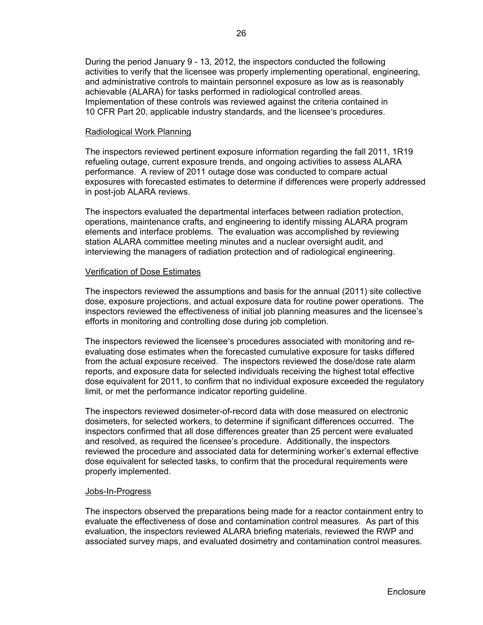During the period January 9 - 13, 2012, the inspectors conducted the following activities to verify that the licensee was properly implementing operational, engineering, and administrative controls to maintain personnel exposure as low as is reasonably achievable (ALARA) for tasks performed in radiological controlled areas. Implementation of these controls was reviewed against the criteria contained in 10 CFR Part 20, applicable industry standards, and the licensee's procedures.

#### Radiological Work Planning

 The inspectors reviewed pertinent exposure information regarding the fall 2011, 1R19 refueling outage, current exposure trends, and ongoing activities to assess ALARA performance. A review of 2011 outage dose was conducted to compare actual exposures with forecasted estimates to determine if differences were properly addressed in post-job ALARA reviews.

 The inspectors evaluated the departmental interfaces between radiation protection, operations, maintenance crafts, and engineering to identify missing ALARA program elements and interface problems. The evaluation was accomplished by reviewing station ALARA committee meeting minutes and a nuclear oversight audit, and interviewing the managers of radiation protection and of radiological engineering.

#### Verification of Dose Estimates

 The inspectors reviewed the assumptions and basis for the annual (2011) site collective dose, exposure projections, and actual exposure data for routine power operations. The inspectors reviewed the effectiveness of initial job planning measures and the licensee's efforts in monitoring and controlling dose during job completion.

The inspectors reviewed the licensee's procedures associated with monitoring and reevaluating dose estimates when the forecasted cumulative exposure for tasks differed from the actual exposure received. The inspectors reviewed the dose/dose rate alarm reports, and exposure data for selected individuals receiving the highest total effective dose equivalent for 2011, to confirm that no individual exposure exceeded the regulatory limit, or met the performance indicator reporting guideline.

The inspectors reviewed dosimeter-of-record data with dose measured on electronic dosimeters, for selected workers, to determine if significant differences occurred. The inspectors confirmed that all dose differences greater than 25 percent were evaluated and resolved, as required the licensee's procedure. Additionally, the inspectors reviewed the procedure and associated data for determining worker's external effective dose equivalent for selected tasks, to confirm that the procedural requirements were properly implemented.

#### Jobs-In-Progress

 The inspectors observed the preparations being made for a reactor containment entry to evaluate the effectiveness of dose and contamination control measures. As part of this evaluation, the inspectors reviewed ALARA briefing materials, reviewed the RWP and associated survey maps, and evaluated dosimetry and contamination control measures.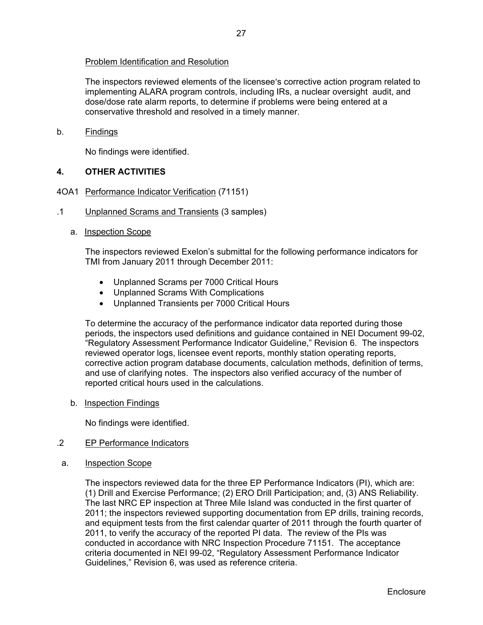## Problem Identification and Resolution

The inspectors reviewed elements of the licensee's corrective action program related to implementing ALARA program controls, including IRs, a nuclear oversight audit, and dose/dose rate alarm reports, to determine if problems were being entered at a conservative threshold and resolved in a timely manner.

## b. Findings

No findings were identified.

## **4. OTHER ACTIVITIES**

- 4OA1 Performance Indicator Verification (71151)
- .1 Unplanned Scrams and Transients (3 samples)
	- a. Inspection Scope

The inspectors reviewed Exelon's submittal for the following performance indicators for TMI from January 2011 through December 2011:

- Unplanned Scrams per 7000 Critical Hours
- Unplanned Scrams With Complications
- Unplanned Transients per 7000 Critical Hours

To determine the accuracy of the performance indicator data reported during those periods, the inspectors used definitions and guidance contained in NEI Document 99-02, "Regulatory Assessment Performance Indicator Guideline," Revision 6. The inspectors reviewed operator logs, licensee event reports, monthly station operating reports, corrective action program database documents, calculation methods, definition of terms, and use of clarifying notes. The inspectors also verified accuracy of the number of reported critical hours used in the calculations.

b. Inspection Findings

No findings were identified.

## .2 EP Performance Indicators

a. Inspection Scope

The inspectors reviewed data for the three EP Performance Indicators (PI), which are: (1) Drill and Exercise Performance; (2) ERO Drill Participation; and, (3) ANS Reliability. The last NRC EP inspection at Three Mile Island was conducted in the first quarter of 2011; the inspectors reviewed supporting documentation from EP drills, training records, and equipment tests from the first calendar quarter of 2011 through the fourth quarter of 2011, to verify the accuracy of the reported PI data. The review of the PIs was conducted in accordance with NRC Inspection Procedure 71151. The acceptance criteria documented in NEI 99-02, "Regulatory Assessment Performance Indicator Guidelines," Revision 6, was used as reference criteria.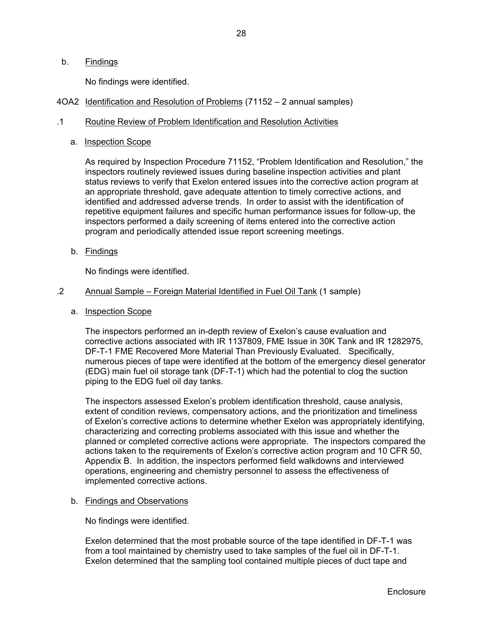## b. Findings

No findings were identified.

4OA2 Identification and Resolution of Problems (71152 – 2 annual samples)

#### .1 Routine Review of Problem Identification and Resolution Activities

a. Inspection Scope

As required by Inspection Procedure 71152, "Problem Identification and Resolution," the inspectors routinely reviewed issues during baseline inspection activities and plant status reviews to verify that Exelon entered issues into the corrective action program at an appropriate threshold, gave adequate attention to timely corrective actions, and identified and addressed adverse trends. In order to assist with the identification of repetitive equipment failures and specific human performance issues for follow-up, the inspectors performed a daily screening of items entered into the corrective action program and periodically attended issue report screening meetings.

b. Findings

No findings were identified.

## .2 Annual Sample – Foreign Material Identified in Fuel Oil Tank (1 sample)

a. Inspection Scope

The inspectors performed an in-depth review of Exelon's cause evaluation and corrective actions associated with IR 1137809, FME Issue in 30K Tank and IR 1282975, DF-T-1 FME Recovered More Material Than Previously Evaluated. Specifically, numerous pieces of tape were identified at the bottom of the emergency diesel generator (EDG) main fuel oil storage tank (DF-T-1) which had the potential to clog the suction piping to the EDG fuel oil day tanks.

The inspectors assessed Exelon's problem identification threshold, cause analysis, extent of condition reviews, compensatory actions, and the prioritization and timeliness of Exelon's corrective actions to determine whether Exelon was appropriately identifying, characterizing and correcting problems associated with this issue and whether the planned or completed corrective actions were appropriate. The inspectors compared the actions taken to the requirements of Exelon's corrective action program and 10 CFR 50, Appendix B. In addition, the inspectors performed field walkdowns and interviewed operations, engineering and chemistry personnel to assess the effectiveness of implemented corrective actions.

#### b. Findings and Observations

No findings were identified.

Exelon determined that the most probable source of the tape identified in DF-T-1 was from a tool maintained by chemistry used to take samples of the fuel oil in DF-T-1. Exelon determined that the sampling tool contained multiple pieces of duct tape and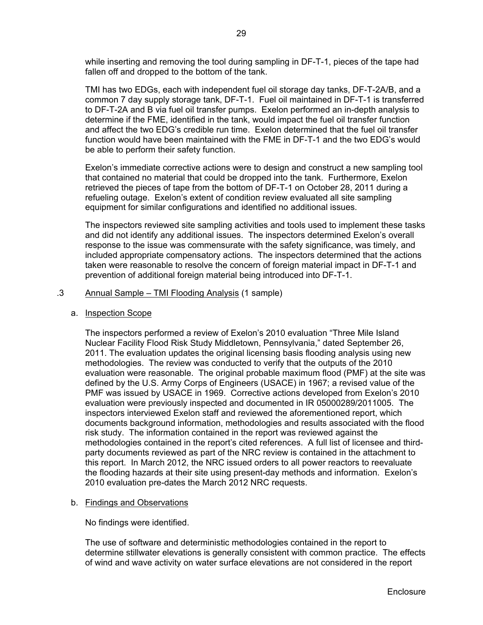while inserting and removing the tool during sampling in DF-T-1, pieces of the tape had fallen off and dropped to the bottom of the tank.

TMI has two EDGs, each with independent fuel oil storage day tanks, DF-T-2A/B, and a common 7 day supply storage tank, DF-T-1. Fuel oil maintained in DF-T-1 is transferred to DF-T-2A and B via fuel oil transfer pumps. Exelon performed an in-depth analysis to determine if the FME, identified in the tank, would impact the fuel oil transfer function and affect the two EDG's credible run time. Exelon determined that the fuel oil transfer function would have been maintained with the FME in DF-T-1 and the two EDG's would be able to perform their safety function.

Exelon's immediate corrective actions were to design and construct a new sampling tool that contained no material that could be dropped into the tank. Furthermore, Exelon retrieved the pieces of tape from the bottom of DF-T-1 on October 28, 2011 during a refueling outage. Exelon's extent of condition review evaluated all site sampling equipment for similar configurations and identified no additional issues.

The inspectors reviewed site sampling activities and tools used to implement these tasks and did not identify any additional issues. The inspectors determined Exelon's overall response to the issue was commensurate with the safety significance, was timely, and included appropriate compensatory actions. The inspectors determined that the actions taken were reasonable to resolve the concern of foreign material impact in DF-T-1 and prevention of additional foreign material being introduced into DF-T-1.

#### .3 Annual Sample – TMI Flooding Analysis (1 sample)

a. Inspection Scope

The inspectors performed a review of Exelon's 2010 evaluation "Three Mile Island Nuclear Facility Flood Risk Study Middletown, Pennsylvania," dated September 26, 2011. The evaluation updates the original licensing basis flooding analysis using new methodologies. The review was conducted to verify that the outputs of the 2010 evaluation were reasonable. The original probable maximum flood (PMF) at the site was defined by the U.S. Army Corps of Engineers (USACE) in 1967; a revised value of the PMF was issued by USACE in 1969. Corrective actions developed from Exelon's 2010 evaluation were previously inspected and documented in IR 05000289/2011005. The inspectors interviewed Exelon staff and reviewed the aforementioned report, which documents background information, methodologies and results associated with the flood risk study. The information contained in the report was reviewed against the methodologies contained in the report's cited references. A full list of licensee and thirdparty documents reviewed as part of the NRC review is contained in the attachment to this report. In March 2012, the NRC issued orders to all power reactors to reevaluate the flooding hazards at their site using present-day methods and information. Exelon's 2010 evaluation pre-dates the March 2012 NRC requests.

## b. Findings and Observations

No findings were identified.

The use of software and deterministic methodologies contained in the report to determine stillwater elevations is generally consistent with common practice. The effects of wind and wave activity on water surface elevations are not considered in the report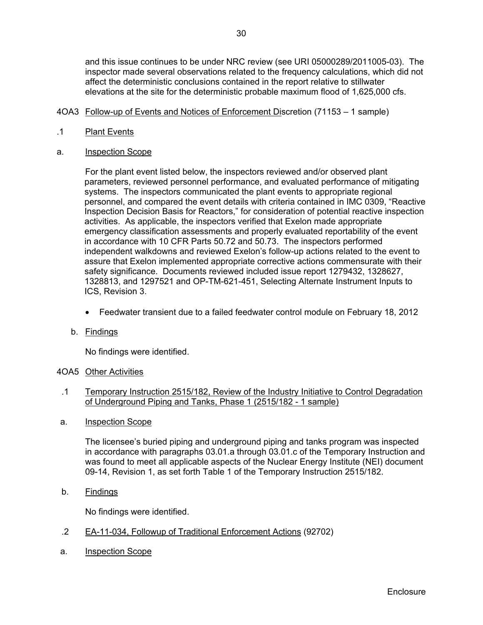and this issue continues to be under NRC review (see URI 05000289/2011005-03). The inspector made several observations related to the frequency calculations, which did not affect the deterministic conclusions contained in the report relative to stillwater elevations at the site for the deterministic probable maximum flood of 1,625,000 cfs.

- 4OA3 Follow-up of Events and Notices of Enforcement Discretion (71153 1 sample)
- .1 Plant Events
- a. Inspection Scope

 For the plant event listed below, the inspectors reviewed and/or observed plant parameters, reviewed personnel performance, and evaluated performance of mitigating systems. The inspectors communicated the plant events to appropriate regional personnel, and compared the event details with criteria contained in IMC 0309, "Reactive Inspection Decision Basis for Reactors," for consideration of potential reactive inspection activities. As applicable, the inspectors verified that Exelon made appropriate emergency classification assessments and properly evaluated reportability of the event in accordance with 10 CFR Parts 50.72 and 50.73. The inspectors performed independent walkdowns and reviewed Exelon's follow-up actions related to the event to assure that Exelon implemented appropriate corrective actions commensurate with their safety significance. Documents reviewed included issue report 1279432, 1328627, 1328813, and 1297521 and OP-TM-621-451, Selecting Alternate Instrument Inputs to ICS, Revision 3.

- Feedwater transient due to a failed feedwater control module on February 18, 2012
- b. Findings

No findings were identified.

## 4OA5 Other Activities

- .1 Temporary Instruction 2515/182, Review of the Industry Initiative to Control Degradation of Underground Piping and Tanks, Phase 1 (2515/182 - 1 sample)
- a. Inspection Scope

The licensee's buried piping and underground piping and tanks program was inspected in accordance with paragraphs 03.01.a through 03.01.c of the Temporary Instruction and was found to meet all applicable aspects of the Nuclear Energy Institute (NEI) document 09-14, Revision 1, as set forth Table 1 of the Temporary Instruction 2515/182.

b. Findings

No findings were identified.

- .2 EA-11-034, Followup of Traditional Enforcement Actions (92702)
- a. Inspection Scope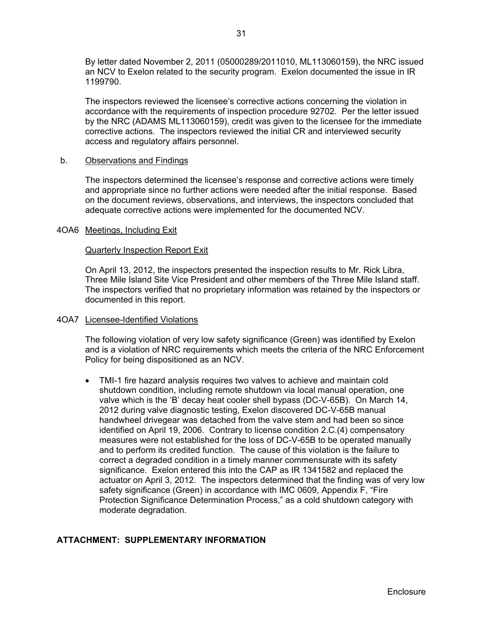By letter dated November 2, 2011 (05000289/2011010, ML113060159), the NRC issued an NCV to Exelon related to the security program. Exelon documented the issue in IR 1199790.

The inspectors reviewed the licensee's corrective actions concerning the violation in accordance with the requirements of inspection procedure 92702. Per the letter issued by the NRC (ADAMS ML113060159), credit was given to the licensee for the immediate corrective actions. The inspectors reviewed the initial CR and interviewed security access and regulatory affairs personnel.

#### b. Observations and Findings

The inspectors determined the licensee's response and corrective actions were timely and appropriate since no further actions were needed after the initial response. Based on the document reviews, observations, and interviews, the inspectors concluded that adequate corrective actions were implemented for the documented NCV.

#### 4OA6 Meetings, Including Exit

#### Quarterly Inspection Report Exit

On April 13, 2012, the inspectors presented the inspection results to Mr. Rick Libra, Three Mile Island Site Vice President and other members of the Three Mile Island staff. The inspectors verified that no proprietary information was retained by the inspectors or documented in this report.

## 4OA7 Licensee-Identified Violations

The following violation of very low safety significance (Green) was identified by Exelon and is a violation of NRC requirements which meets the criteria of the NRC Enforcement Policy for being dispositioned as an NCV.

• TMI-1 fire hazard analysis requires two valves to achieve and maintain cold shutdown condition, including remote shutdown via local manual operation, one valve which is the 'B' decay heat cooler shell bypass (DC-V-65B). On March 14, 2012 during valve diagnostic testing, Exelon discovered DC-V-65B manual handwheel drivegear was detached from the valve stem and had been so since identified on April 19, 2006. Contrary to license condition 2.C.(4) compensatory measures were not established for the loss of DC-V-65B to be operated manually and to perform its credited function. The cause of this violation is the failure to correct a degraded condition in a timely manner commensurate with its safety significance. Exelon entered this into the CAP as IR 1341582 and replaced the actuator on April 3, 2012. The inspectors determined that the finding was of very low safety significance (Green) in accordance with IMC 0609, Appendix F, "Fire Protection Significance Determination Process," as a cold shutdown category with moderate degradation.

## **ATTACHMENT: SUPPLEMENTARY INFORMATION**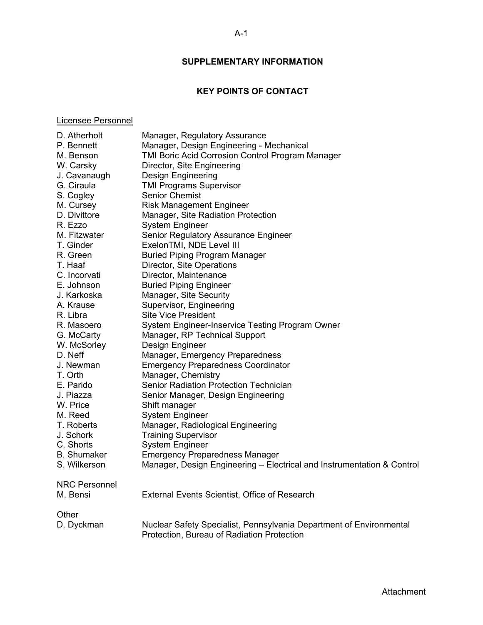# **SUPPLEMENTARY INFORMATION**

# **KEY POINTS OF CONTACT**

## Licensee Personnel

| D. Atherholt         | Manager, Regulatory Assurance                                                                                     |
|----------------------|-------------------------------------------------------------------------------------------------------------------|
| P. Bennett           | Manager, Design Engineering - Mechanical                                                                          |
| M. Benson            | TMI Boric Acid Corrosion Control Program Manager                                                                  |
| W. Carsky            | Director, Site Engineering                                                                                        |
| J. Cavanaugh         | <b>Design Engineering</b>                                                                                         |
| G. Ciraula           | <b>TMI Programs Supervisor</b>                                                                                    |
| S. Cogley            | <b>Senior Chemist</b>                                                                                             |
| M. Cursey            | <b>Risk Management Engineer</b>                                                                                   |
| D. Divittore         | Manager, Site Radiation Protection                                                                                |
| R. Ezzo              | <b>System Engineer</b>                                                                                            |
| M. Fitzwater         | Senior Regulatory Assurance Engineer                                                                              |
| T. Ginder            | ExelonTMI, NDE Level III                                                                                          |
| R. Green             | <b>Buried Piping Program Manager</b>                                                                              |
| T. Haaf              | Director, Site Operations                                                                                         |
| C. Incorvati         | Director, Maintenance                                                                                             |
| E. Johnson           | <b>Buried Piping Engineer</b>                                                                                     |
| J. Karkoska          | Manager, Site Security                                                                                            |
| A. Krause            | Supervisor, Engineering                                                                                           |
| R. Libra             | <b>Site Vice President</b>                                                                                        |
| R. Masoero           | System Engineer-Inservice Testing Program Owner                                                                   |
| G. McCarty           | Manager, RP Technical Support                                                                                     |
| W. McSorley          | Design Engineer                                                                                                   |
| D. Neff              | Manager, Emergency Preparedness                                                                                   |
| J. Newman            | <b>Emergency Preparedness Coordinator</b>                                                                         |
| T. Orth              | Manager, Chemistry                                                                                                |
| E. Parido            | Senior Radiation Protection Technician                                                                            |
| J. Piazza            | Senior Manager, Design Engineering                                                                                |
| W. Price             | Shift manager                                                                                                     |
| M. Reed              | <b>System Engineer</b>                                                                                            |
| T. Roberts           | Manager, Radiological Engineering                                                                                 |
| J. Schork            | <b>Training Supervisor</b>                                                                                        |
| C. Shorts            | <b>System Engineer</b>                                                                                            |
| <b>B.</b> Shumaker   | <b>Emergency Preparedness Manager</b>                                                                             |
| S. Wilkerson         | Manager, Design Engineering - Electrical and Instrumentation & Control                                            |
| <b>NRC Personnel</b> |                                                                                                                   |
| M. Bensi             | External Events Scientist, Office of Research                                                                     |
| Other                |                                                                                                                   |
| D. Dyckman           | Nuclear Safety Specialist, Pennsylvania Department of Environmental<br>Protection, Bureau of Radiation Protection |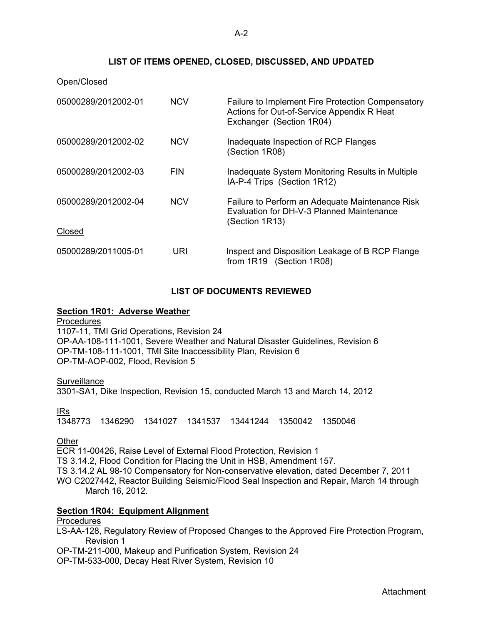## **LIST OF ITEMS OPENED, CLOSED, DISCUSSED, AND UPDATED**

#### Open/Closed

| 05000289/2012002-01 | <b>NCV</b> | Failure to Implement Fire Protection Compensatory<br>Actions for Out-of-Service Appendix R Heat<br>Exchanger (Section 1R04) |
|---------------------|------------|-----------------------------------------------------------------------------------------------------------------------------|
| 05000289/2012002-02 | <b>NCV</b> | Inadequate Inspection of RCP Flanges<br>(Section 1R08)                                                                      |
| 05000289/2012002-03 | <b>FIN</b> | Inadequate System Monitoring Results in Multiple<br>IA-P-4 Trips (Section 1R12)                                             |
| 05000289/2012002-04 | <b>NCV</b> | Failure to Perform an Adequate Maintenance Risk<br>Evaluation for DH-V-3 Planned Maintenance<br>(Section 1R13)              |
| Closed              |            |                                                                                                                             |
| 05000289/2011005-01 | URI        | Inspect and Disposition Leakage of B RCP Flange<br>from 1R19 (Section 1R08)                                                 |

## **LIST OF DOCUMENTS REVIEWED**

### **Section 1R01: Adverse Weather**

**Procedures** 1107-11, TMI Grid Operations, Revision 24 OP-AA-108-111-1001, Severe Weather and Natural Disaster Guidelines, Revision 6 OP-TM-108-111-1001, TMI Site Inaccessibility Plan, Revision 6 OP-TM-AOP-002, Flood, Revision 5

#### **Surveillance**

3301-SA1, Dike Inspection, Revision 15, conducted March 13 and March 14, 2012

#### IRs

1348773 1346290 1341027 1341537 13441244 1350042 1350046

#### **Other**

ECR 11-00426, Raise Level of External Flood Protection, Revision 1 TS 3.14.2, Flood Condition for Placing the Unit in HSB, Amendment 157. TS 3.14.2 AL 98-10 Compensatory for Non-conservative elevation, dated December 7, 2011 WO C2027442, Reactor Building Seismic/Flood Seal Inspection and Repair, March 14 through March 16, 2012.

#### **Section 1R04: Equipment Alignment**

## **Procedures**

LS-AA-128, Regulatory Review of Proposed Changes to the Approved Fire Protection Program, Revision 1

OP-TM-211-000, Makeup and Purification System, Revision 24

OP-TM-533-000, Decay Heat River System, Revision 10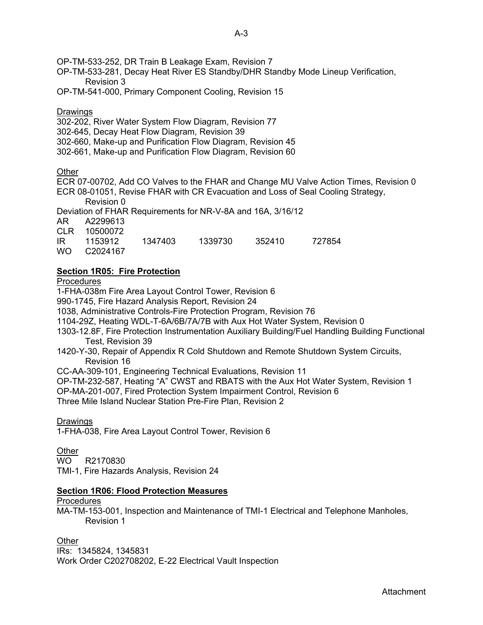OP-TM-533-252, DR Train B Leakage Exam, Revision 7

- OP-TM-533-281, Decay Heat River ES Standby/DHR Standby Mode Lineup Verification, Revision 3
- OP-TM-541-000, Primary Component Cooling, Revision 15

## Drawings

- 302-202, River Water System Flow Diagram, Revision 77
- 302-645, Decay Heat Flow Diagram, Revision 39
- 302-660, Make-up and Purification Flow Diagram, Revision 45
- 302-661, Make-up and Purification Flow Diagram, Revision 60

## **Other**

ECR 07-00702, Add CO Valves to the FHAR and Change MU Valve Action Times, Revision 0 ECR 08-01051, Revise FHAR with CR Evacuation and Loss of Seal Cooling Strategy, Revision 0

Deviation of FHAR Requirements for NR-V-8A and 16A, 3/16/12

AR A2299613

CLR 10500072

IR 1153912 1347403 1339730 352410 727854

WO C2024167

# **Section 1R05: Fire Protection**

**Procedures** 

1-FHA-038m Fire Area Layout Control Tower, Revision 6

990-1745, Fire Hazard Analysis Report, Revision 24

1038, Administrative Controls-Fire Protection Program, Revision 76

1104-29Z, Heating WDL-T-6A/6B/7A/7B with Aux Hot Water System, Revision 0

- 1303-12.8F, Fire Protection Instrumentation Auxiliary Building/Fuel Handling Building Functional Test, Revision 39
- 1420-Y-30, Repair of Appendix R Cold Shutdown and Remote Shutdown System Circuits, Revision 16
- CC-AA-309-101, Engineering Technical Evaluations, Revision 11

OP-TM-232-587, Heating "A" CWST and RBATS with the Aux Hot Water System, Revision 1

OP-MA-201-007, Fired Protection System Impairment Control, Revision 6

Three Mile Island Nuclear Station Pre-Fire Plan, Revision 2

## Drawings

1-FHA-038, Fire Area Layout Control Tower, Revision 6

**Other** 

WO R2170830

TMI-1, Fire Hazards Analysis, Revision 24

## **Section 1R06: Flood Protection Measures**

## **Procedures**

MA-TM-153-001, Inspection and Maintenance of TMI-1 Electrical and Telephone Manholes, Revision 1

**Other** 

IRs: 1345824, 1345831 Work Order C202708202, E-22 Electrical Vault Inspection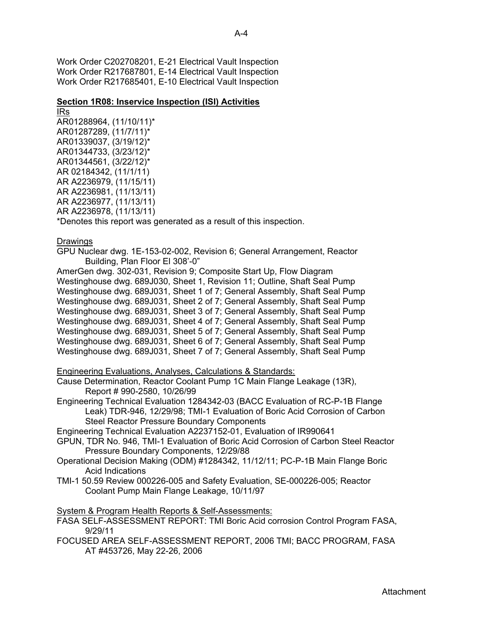Work Order C202708201, E-21 Electrical Vault Inspection Work Order R217687801, E-14 Electrical Vault Inspection Work Order R217685401, E-10 Electrical Vault Inspection

## **Section 1R08: Inservice Inspection (ISI) Activities**

IRs AR01288964, (11/10/11)\* AR01287289, (11/7/11)\* AR01339037, (3/19/12)\* AR01344733, (3/23/12)\* AR01344561, (3/22/12)\* AR 02184342, (11/1/11) AR A2236979, (11/15/11) AR A2236981, (11/13/11) AR A2236977, (11/13/11) AR A2236978, (11/13/11)

\*Denotes this report was generated as a result of this inspection.

Drawings

GPU Nuclear dwg. 1E-153-02-002, Revision 6; General Arrangement, Reactor Building, Plan Floor El 308'-0"

AmerGen dwg. 302-031, Revision 9; Composite Start Up, Flow Diagram Westinghouse dwg. 689J030, Sheet 1, Revision 11; Outline, Shaft Seal Pump Westinghouse dwg. 689J031, Sheet 1 of 7; General Assembly, Shaft Seal Pump Westinghouse dwg. 689J031, Sheet 2 of 7; General Assembly, Shaft Seal Pump Westinghouse dwg. 689J031, Sheet 3 of 7; General Assembly, Shaft Seal Pump Westinghouse dwg. 689J031, Sheet 4 of 7; General Assembly, Shaft Seal Pump Westinghouse dwg. 689J031, Sheet 5 of 7; General Assembly, Shaft Seal Pump Westinghouse dwg. 689J031, Sheet 6 of 7; General Assembly, Shaft Seal Pump Westinghouse dwg. 689J031, Sheet 7 of 7; General Assembly, Shaft Seal Pump

## Engineering Evaluations, Analyses, Calculations & Standards:

Cause Determination, Reactor Coolant Pump 1C Main Flange Leakage (13R), Report # 990-2580, 10/26/99

Engineering Technical Evaluation 1284342-03 (BACC Evaluation of RC-P-1B Flange Leak) TDR-946, 12/29/98; TMI-1 Evaluation of Boric Acid Corrosion of Carbon Steel Reactor Pressure Boundary Components

Engineering Technical Evaluation A2237152-01, Evaluation of IR990641

GPUN, TDR No. 946, TMI-1 Evaluation of Boric Acid Corrosion of Carbon Steel Reactor Pressure Boundary Components, 12/29/88

- Operational Decision Making (ODM) #1284342, 11/12/11; PC-P-1B Main Flange Boric Acid Indications
- TMI-1 50.59 Review 000226-005 and Safety Evaluation, SE-000226-005; Reactor Coolant Pump Main Flange Leakage, 10/11/97

System & Program Health Reports & Self-Assessments:

FASA SELF-ASSESSMENT REPORT: TMI Boric Acid corrosion Control Program FASA, 9/29/11

FOCUSED AREA SELF-ASSESSMENT REPORT, 2006 TMI; BACC PROGRAM, FASA AT #453726, May 22-26, 2006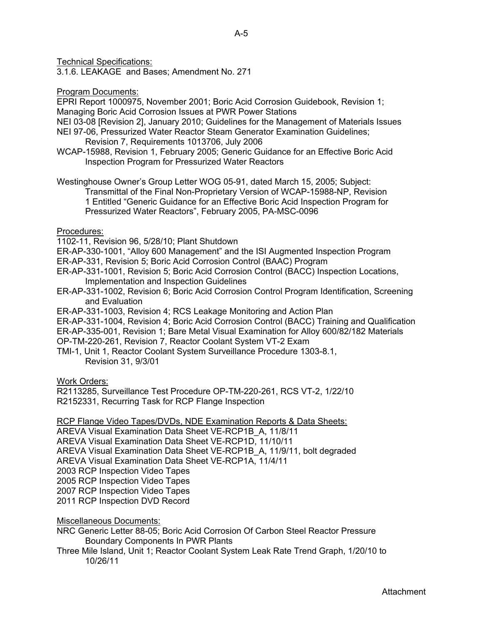Technical Specifications:

3.1.6. LEAKAGE and Bases; Amendment No. 271

## Program Documents:

EPRI Report 1000975, November 2001; Boric Acid Corrosion Guidebook, Revision 1; Managing Boric Acid Corrosion Issues at PWR Power Stations

NEI 03-08 [Revision 2], January 2010; Guidelines for the Management of Materials Issues

- NEI 97-06, Pressurized Water Reactor Steam Generator Examination Guidelines; Revision 7, Requirements 1013706, July 2006
- WCAP-15988, Revision 1, February 2005; Generic Guidance for an Effective Boric Acid Inspection Program for Pressurized Water Reactors

Westinghouse Owner's Group Letter WOG 05-91, dated March 15, 2005; Subject:

Transmittal of the Final Non-Proprietary Version of WCAP-15988-NP, Revision 1 Entitled "Generic Guidance for an Effective Boric Acid Inspection Program for Pressurized Water Reactors", February 2005, PA-MSC-0096

## Procedures:

1102-11, Revision 96, 5/28/10; Plant Shutdown

ER-AP-330-1001, "Alloy 600 Management" and the ISI Augmented Inspection Program

ER-AP-331, Revision 5; Boric Acid Corrosion Control (BAAC) Program

ER-AP-331-1001, Revision 5; Boric Acid Corrosion Control (BACC) Inspection Locations, Implementation and Inspection Guidelines

ER-AP-331-1002, Revision 6; Boric Acid Corrosion Control Program Identification, Screening and Evaluation

ER-AP-331-1003, Revision 4; RCS Leakage Monitoring and Action Plan

ER-AP-331-1004, Revision 4; Boric Acid Corrosion Control (BACC) Training and Qualification

ER-AP-335-001, Revision 1; Bare Metal Visual Examination for Alloy 600/82/182 Materials

OP-TM-220-261, Revision 7, Reactor Coolant System VT-2 Exam

TMI-1, Unit 1, Reactor Coolant System Surveillance Procedure 1303-8.1, Revision 31, 9/3/01

Work Orders:

R2113285, Surveillance Test Procedure OP-TM-220-261, RCS VT-2, 1/22/10 R2152331, Recurring Task for RCP Flange Inspection

RCP Flange Video Tapes/DVDs, NDE Examination Reports & Data Sheets:

AREVA Visual Examination Data Sheet VE-RCP1B\_A, 11/8/11 AREVA Visual Examination Data Sheet VE-RCP1D, 11/10/11 AREVA Visual Examination Data Sheet VE-RCP1B\_A, 11/9/11, bolt degraded AREVA Visual Examination Data Sheet VE-RCP1A, 11/4/11 2003 RCP Inspection Video Tapes 2005 RCP Inspection Video Tapes 2007 RCP Inspection Video Tapes

2011 RCP Inspection DVD Record

## Miscellaneous Documents:

NRC Generic Letter 88-05; Boric Acid Corrosion Of Carbon Steel Reactor Pressure Boundary Components In PWR Plants

Three Mile Island, Unit 1; Reactor Coolant System Leak Rate Trend Graph, 1/20/10 to 10/26/11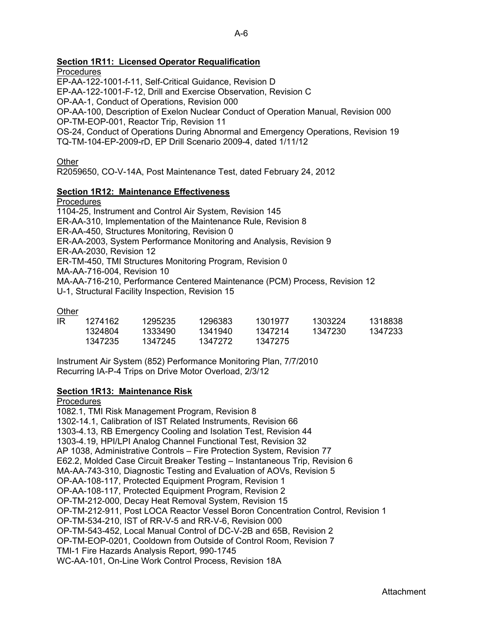## **Section 1R11: Licensed Operator Requalification**

**Procedures** 

EP-AA-122-1001-f-11, Self-Critical Guidance, Revision D EP-AA-122-1001-F-12, Drill and Exercise Observation, Revision C OP-AA-1, Conduct of Operations, Revision 000 OP-AA-100, Description of Exelon Nuclear Conduct of Operation Manual, Revision 000 OP-TM-EOP-001, Reactor Trip, Revision 11 OS-24, Conduct of Operations During Abnormal and Emergency Operations, Revision 19 TQ-TM-104-EP-2009-rD, EP Drill Scenario 2009-4, dated 1/11/12

**Other** 

R2059650, CO-V-14A, Post Maintenance Test, dated February 24, 2012

## **Section 1R12: Maintenance Effectiveness**

## **Procedures**

1104-25, Instrument and Control Air System, Revision 145 ER-AA-310, Implementation of the Maintenance Rule, Revision 8 ER-AA-450, Structures Monitoring, Revision 0 ER-AA-2003, System Performance Monitoring and Analysis, Revision 9 ER-AA-2030, Revision 12 ER-TM-450, TMI Structures Monitoring Program, Revision 0 MA-AA-716-004, Revision 10 MA-AA-716-210, Performance Centered Maintenance (PCM) Process, Revision 12 U-1, Structural Facility Inspection, Revision 15

**Other** 

| IRI | 1274162 | 1295235 | 1296383 | 1301977 | 1303224 | 1318838 |
|-----|---------|---------|---------|---------|---------|---------|
|     | 1324804 | 1333490 | 1341940 | 1347214 | 1347230 | 1347233 |
|     | 1347235 | 1347245 | 1347272 | 1347275 |         |         |

Instrument Air System (852) Performance Monitoring Plan, 7/7/2010 Recurring IA-P-4 Trips on Drive Motor Overload, 2/3/12

## **Section 1R13: Maintenance Risk**

## Procedures

1082.1, TMI Risk Management Program, Revision 8 1302-14.1, Calibration of IST Related Instruments, Revision 66 1303-4.13, RB Emergency Cooling and Isolation Test, Revision 44 1303-4.19, HPI/LPI Analog Channel Functional Test, Revision 32 AP 1038, Administrative Controls – Fire Protection System, Revision 77 E62.2, Molded Case Circuit Breaker Testing – Instantaneous Trip, Revision 6 MA-AA-743-310, Diagnostic Testing and Evaluation of AOVs, Revision 5 OP-AA-108-117, Protected Equipment Program, Revision 1 OP-AA-108-117, Protected Equipment Program, Revision 2 OP-TM-212-000, Decay Heat Removal System, Revision 15 OP-TM-212-911, Post LOCA Reactor Vessel Boron Concentration Control, Revision 1 OP-TM-534-210, IST of RR-V-5 and RR-V-6, Revision 000 OP-TM-543-452, Local Manual Control of DC-V-2B and 65B, Revision 2 OP-TM-EOP-0201, Cooldown from Outside of Control Room, Revision 7 TMI-1 Fire Hazards Analysis Report, 990-1745 WC-AA-101, On-Line Work Control Process, Revision 18A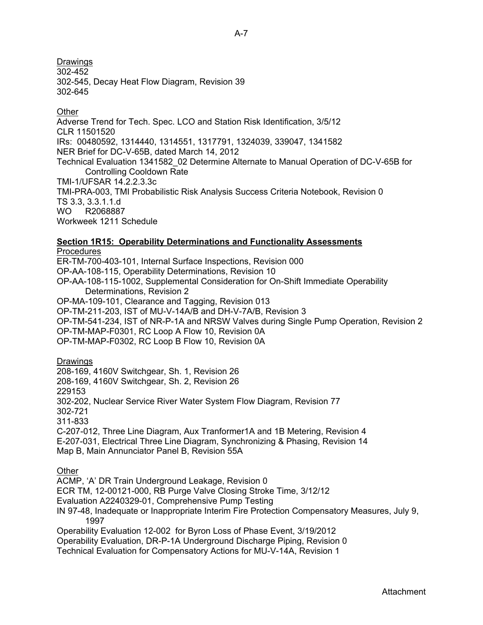Drawings  $302 - 452$ 302-545, Decay Heat Flow Diagram, Revision 39 302-645

## **Other**

Adverse Trend for Tech. Spec. LCO and Station Risk Identification, 3/5/12 CLR 11501520 IRs: 00480592, 1314440, 1314551, 1317791, 1324039, 339047, 1341582 NER Brief for DC-V-65B, dated March 14, 2012 Technical Evaluation 1341582\_02 Determine Alternate to Manual Operation of DC-V-65B for Controlling Cooldown Rate TMI-1/UFSAR 14.2.2.3.3c TMI-PRA-003, TMI Probabilistic Risk Analysis Success Criteria Notebook, Revision 0 TS 3.3, 3.3.1.1.d WO R2068887 Workweek 1211 Schedule

### **Section 1R15: Operability Determinations and Functionality Assessments Procedures**

ER-TM-700-403-101, Internal Surface Inspections, Revision 000 OP-AA-108-115, Operability Determinations, Revision 10 OP-AA-108-115-1002, Supplemental Consideration for On-Shift Immediate Operability Determinations, Revision 2 OP-MA-109-101, Clearance and Tagging, Revision 013 OP-TM-211-203, IST of MU-V-14A/B and DH-V-7A/B, Revision 3 OP-TM-541-234, IST of NR-P-1A and NRSW Valves during Single Pump Operation, Revision 2 OP-TM-MAP-F0301, RC Loop A Flow 10, Revision 0A OP-TM-MAP-F0302, RC Loop B Flow 10, Revision 0A

## Drawings

208-169, 4160V Switchgear, Sh. 1, Revision 26 208-169, 4160V Switchgear, Sh. 2, Revision 26 229153 302-202, Nuclear Service River Water System Flow Diagram, Revision 77 302-721 311-833 C-207-012, Three Line Diagram, Aux Tranformer1A and 1B Metering, Revision 4

E-207-031, Electrical Three Line Diagram, Synchronizing & Phasing, Revision 14 Map B, Main Annunciator Panel B, Revision 55A

**Other** 

ACMP, 'A' DR Train Underground Leakage, Revision 0

ECR TM, 12-00121-000, RB Purge Valve Closing Stroke Time, 3/12/12

Evaluation A2240329-01, Comprehensive Pump Testing

IN 97-48, Inadequate or Inappropriate Interim Fire Protection Compensatory Measures, July 9, 1997

Operability Evaluation 12-002 for Byron Loss of Phase Event, 3/19/2012 Operability Evaluation, DR-P-1A Underground Discharge Piping, Revision 0

Technical Evaluation for Compensatory Actions for MU-V-14A, Revision 1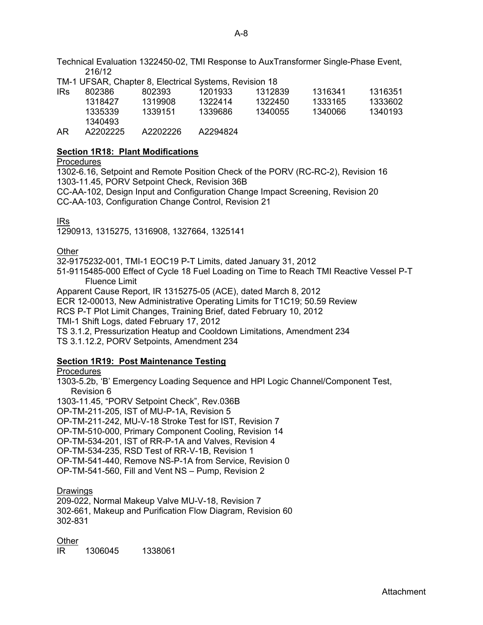Technical Evaluation 1322450-02, TMI Response to AuxTransformer Single-Phase Event, 216/12

TM-1 UFSAR, Chapter 8, Electrical Systems, Revision 18

| IRs | 802386   | 802393   | 1201933  | 1312839 | 1316341 | 1316351 |
|-----|----------|----------|----------|---------|---------|---------|
|     | 1318427  | 1319908  | 1322414  | 1322450 | 1333165 | 1333602 |
|     | 1335339  | 1339151  | 1339686  | 1340055 | 1340066 | 1340193 |
|     | 1340493  |          |          |         |         |         |
| AR  | A2202225 | A2202226 | A2294824 |         |         |         |

## **Section 1R18: Plant Modifications**

#### **Procedures**

1302-6.16, Setpoint and Remote Position Check of the PORV (RC-RC-2), Revision 16 1303-11.45, PORV Setpoint Check, Revision 36B

CC-AA-102, Design Input and Configuration Change Impact Screening, Revision 20 CC-AA-103, Configuration Change Control, Revision 21

## IRs

1290913, 1315275, 1316908, 1327664, 1325141

## Other

32-9175232-001, TMI-1 EOC19 P-T Limits, dated January 31, 2012

51-9115485-000 Effect of Cycle 18 Fuel Loading on Time to Reach TMI Reactive Vessel P-T Fluence Limit

Apparent Cause Report, IR 1315275-05 (ACE), dated March 8, 2012

ECR 12-00013, New Administrative Operating Limits for T1C19; 50.59 Review

RCS P-T Plot Limit Changes, Training Brief, dated February 10, 2012

TMI-1 Shift Logs, dated February 17, 2012

TS 3.1.2, Pressurization Heatup and Cooldown Limitations, Amendment 234

TS 3.1.12.2, PORV Setpoints, Amendment 234

## **Section 1R19: Post Maintenance Testing**

## Procedures

1303-5.2b, 'B' Emergency Loading Sequence and HPI Logic Channel/Component Test, Revision 6

1303-11.45, "PORV Setpoint Check", Rev.036B

OP-TM-211-205, IST of MU-P-1A, Revision 5

OP-TM-211-242, MU-V-18 Stroke Test for IST, Revision 7

OP-TM-510-000, Primary Component Cooling, Revision 14

OP-TM-534-201, IST of RR-P-1A and Valves, Revision 4

OP-TM-534-235, RSD Test of RR-V-1B, Revision 1

OP-TM-541-440, Remove NS-P-1A from Service, Revision 0

OP-TM-541-560, Fill and Vent NS – Pump, Revision 2

## Drawings

209-022, Normal Makeup Valve MU-V-18, Revision 7 302-661, Makeup and Purification Flow Diagram, Revision 60 302-831

## Other

IR 1306045 1338061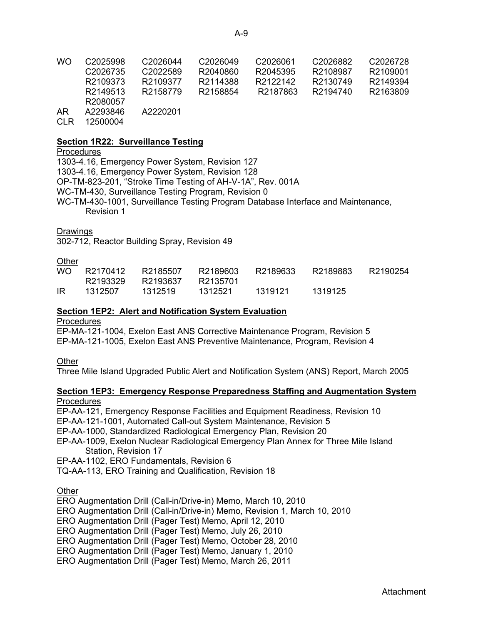| WO | C <sub>2025998</sub> | C2026044 | C2026049 | C2026061 | C2026882 | C2026728 |
|----|----------------------|----------|----------|----------|----------|----------|
|    | C <sub>2026735</sub> | C2022589 | R2040860 | R2045395 | R2108987 | R2109001 |
|    | R2109373             | R2109377 | R2114388 | R2122142 | R2130749 | R2149394 |
|    | R2149513             | R2158779 | R2158854 | R2187863 | R2194740 | R2163809 |
|    | R2080057             |          |          |          |          |          |

- AR A2293846 A2220201
- CLR 12500004

### **Section 1R22: Surveillance Testing**

## **Procedures**

1303-4.16, Emergency Power System, Revision 127 1303-4.16, Emergency Power System, Revision 128 OP-TM-823-201, "Stroke Time Testing of AH-V-1A", Rev. 001A WC-TM-430, Surveillance Testing Program, Revision 0 WC-TM-430-1001, Surveillance Testing Program Database Interface and Maintenance, Revision 1

#### **Drawings**

302-712, Reactor Building Spray, Revision 49

## **Other**

| WO. | R2170412 | R2185507 | R2189603 | R2189633 | R2189883 | R2190254 |
|-----|----------|----------|----------|----------|----------|----------|
|     | R2193329 | R2193637 | R2135701 |          |          |          |
| IR  | 1312507  | 1312519  | 1312521  | 1319121  | 1319125  |          |

## **Section 1EP2: Alert and Notification System Evaluation**

## **Procedures**

EP-MA-121-1004, Exelon East ANS Corrective Maintenance Program, Revision 5 EP-MA-121-1005, Exelon East ANS Preventive Maintenance, Program, Revision 4

Other

Three Mile Island Upgraded Public Alert and Notification System (ANS) Report, March 2005

## **Section 1EP3: Emergency Response Preparedness Staffing and Augmentation System Procedures**

EP-AA-121, Emergency Response Facilities and Equipment Readiness, Revision 10

EP-AA-121-1001, Automated Call-out System Maintenance, Revision 5

EP-AA-1000, Standardized Radiological Emergency Plan, Revision 20

EP-AA-1009, Exelon Nuclear Radiological Emergency Plan Annex for Three Mile Island Station, Revision 17

EP-AA-1102, ERO Fundamentals, Revision 6

TQ-AA-113, ERO Training and Qualification, Revision 18

**Other** 

ERO Augmentation Drill (Call-in/Drive-in) Memo, March 10, 2010

ERO Augmentation Drill (Call-in/Drive-in) Memo, Revision 1, March 10, 2010

ERO Augmentation Drill (Pager Test) Memo, April 12, 2010

ERO Augmentation Drill (Pager Test) Memo, July 26, 2010

ERO Augmentation Drill (Pager Test) Memo, October 28, 2010

ERO Augmentation Drill (Pager Test) Memo, January 1, 2010

ERO Augmentation Drill (Pager Test) Memo, March 26, 2011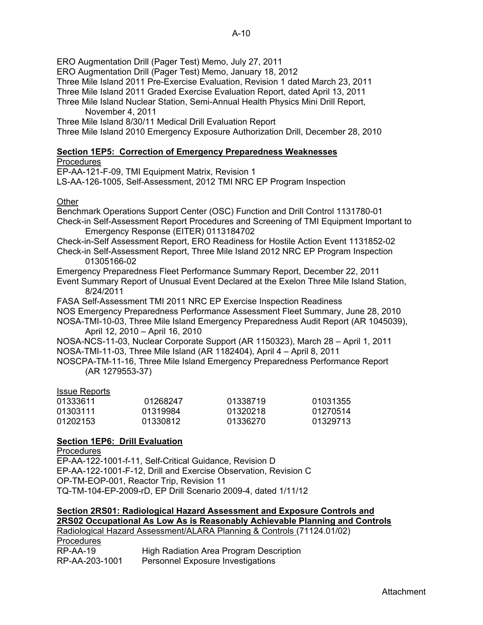ERO Augmentation Drill (Pager Test) Memo, July 27, 2011

ERO Augmentation Drill (Pager Test) Memo, January 18, 2012

Three Mile Island 2011 Pre-Exercise Evaluation, Revision 1 dated March 23, 2011

Three Mile Island 2011 Graded Exercise Evaluation Report, dated April 13, 2011

Three Mile Island Nuclear Station, Semi-Annual Health Physics Mini Drill Report, November 4, 2011

Three Mile Island 8/30/11 Medical Drill Evaluation Report

Three Mile Island 2010 Emergency Exposure Authorization Drill, December 28, 2010

# **Section 1EP5: Correction of Emergency Preparedness Weaknesses**

## **Procedures**

EP-AA-121-F-09, TMI Equipment Matrix, Revision 1

LS-AA-126-1005, Self-Assessment, 2012 TMI NRC EP Program Inspection

## Other

Benchmark Operations Support Center (OSC) Function and Drill Control 1131780-01 Check-in Self-Assessment Report Procedures and Screening of TMI Equipment Important to Emergency Response (EITER) 0113184702

Check-in-Self Assessment Report, ERO Readiness for Hostile Action Event 1131852-02 Check-in Self-Assessment Report, Three Mile Island 2012 NRC EP Program Inspection

01305166-02

Emergency Preparedness Fleet Performance Summary Report, December 22, 2011 Event Summary Report of Unusual Event Declared at the Exelon Three Mile Island Station, 8/24/2011

FASA Self-Assessment TMI 2011 NRC EP Exercise Inspection Readiness

NOS Emergency Preparedness Performance Assessment Fleet Summary, June 28, 2010 NOSA-TMI-10-03, Three Mile Island Emergency Preparedness Audit Report (AR 1045039),

April 12, 2010 – April 16, 2010

NOSA-NCS-11-03, Nuclear Corporate Support (AR 1150323), March 28 – April 1, 2011 NOSA-TMI-11-03, Three Mile Island (AR 1182404), April 4 – April 8, 2011

NOSCPA-TM-11-16, Three Mile Island Emergency Preparedness Performance Report (AR 1279553-37)

## Issue Reports

| 01333611 | 01268247 | 01338719 | 01031355 |
|----------|----------|----------|----------|
| 01303111 | 01319984 | 01320218 | 01270514 |
| 01202153 | 01330812 | 01336270 | 01329713 |

## **Section 1EP6: Drill Evaluation**

**Procedures** EP-AA-122-1001-f-11, Self-Critical Guidance, Revision D EP-AA-122-1001-F-12, Drill and Exercise Observation, Revision C OP-TM-EOP-001, Reactor Trip, Revision 11 TQ-TM-104-EP-2009-rD, EP Drill Scenario 2009-4, dated 1/11/12

**Section 2RS01: Radiological Hazard Assessment and Exposure Controls and** 

**2RS02 Occupational As Low As is Reasonably Achievable Planning and Controls** Radiological Hazard Assessment/ALARA Planning & Controls (71124.01/02) Procedures RP-AA-19 High Radiation Area Program Description RP-AA-203-1001 Personnel Exposure Investigations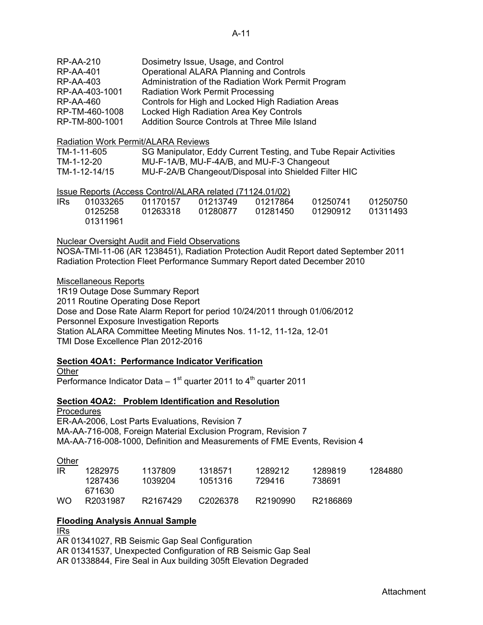| <b>RP-AA-210</b> | Dosimetry Issue, Usage, and Control                 |
|------------------|-----------------------------------------------------|
| <b>RP-AA-401</b> | <b>Operational ALARA Planning and Controls</b>      |
| <b>RP-AA-403</b> | Administration of the Radiation Work Permit Program |
| RP-AA-403-1001   | <b>Radiation Work Permit Processing</b>             |
| <b>RP-AA-460</b> | Controls for High and Locked High Radiation Areas   |
| RP-TM-460-1008   | Locked High Radiation Area Key Controls             |
| RP-TM-800-1001   | Addition Source Controls at Three Mile Island       |

#### Radiation Work Permit/ALARA Reviews

| TM-1-11-605   | SG Manipulator, Eddy Current Testing, and Tube Repair Activities |
|---------------|------------------------------------------------------------------|
| TM-1-12-20    | MU-F-1A/B, MU-F-4A/B, and MU-F-3 Changeout                       |
| TM-1-12-14/15 | MU-F-2A/B Changeout/Disposal into Shielded Filter HIC            |

## Issue Reports (Access Control/ALARA related (71124.01/02)

| IRs. | 01033265 | 01170157 | 01213749 | 01217864 | 01250741 | 01250750 |
|------|----------|----------|----------|----------|----------|----------|
|      | 0125258  | 01263318 | 01280877 | 01281450 | 01290912 | 01311493 |
|      | 01311961 |          |          |          |          |          |

## Nuclear Oversight Audit and Field Observations

NOSA-TMI-11-06 (AR 1238451), Radiation Protection Audit Report dated September 2011 Radiation Protection Fleet Performance Summary Report dated December 2010

## Miscellaneous Reports

1R19 Outage Dose Summary Report 2011 Routine Operating Dose Report Dose and Dose Rate Alarm Report for period 10/24/2011 through 01/06/2012 Personnel Exposure Investigation Reports Station ALARA Committee Meeting Minutes Nos. 11-12, 11-12a, 12-01 TMI Dose Excellence Plan 2012-2016

## **Section 4OA1: Performance Indicator Verification**

**Other** 

Performance Indicator Data –  $1<sup>st</sup>$  quarter 2011 to  $4<sup>th</sup>$  quarter 2011

## **Section 4OA2: Problem Identification and Resolution**

Procedures ER-AA-2006, Lost Parts Evaluations, Revision 7 MA-AA-716-008, Foreign Material Exclusion Program, Revision 7 MA-AA-716-008-1000, Definition and Measurements of FME Events, Revision 4

## **Other**

| -lR       | 1282975  | 1137809  | 1318571              | 1289212  | 1289819  | 1284880 |
|-----------|----------|----------|----------------------|----------|----------|---------|
|           | 1287436  | 1039204  | 1051316              | 729416   | 738691   |         |
|           | 671630   |          |                      |          |          |         |
| <b>WO</b> | R2031987 | R2167429 | C <sub>2026378</sub> | R2190990 | R2186869 |         |

## **Flooding Analysis Annual Sample**

IRs AR 01341027, RB Seismic Gap Seal Configuration AR 01341537, Unexpected Configuration of RB Seismic Gap Seal AR 01338844, Fire Seal in Aux building 305ft Elevation Degraded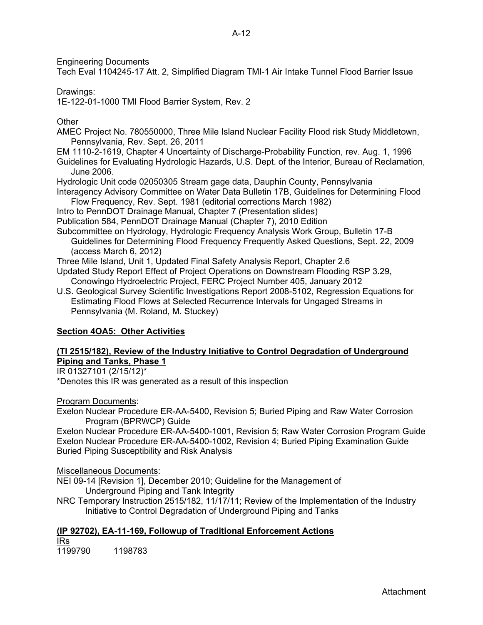Engineering Documents

Tech Eval 1104245-17 Att. 2, Simplified Diagram TMI-1 Air Intake Tunnel Flood Barrier Issue

## Drawings:

1E-122-01-1000 TMI Flood Barrier System, Rev. 2

## **Other**

AMEC Project No. 780550000, Three Mile Island Nuclear Facility Flood risk Study Middletown, Pennsylvania, Rev. Sept. 26, 2011

EM 1110-2-1619, Chapter 4 Uncertainty of Discharge-Probability Function, rev. Aug. 1, 1996 Guidelines for Evaluating Hydrologic Hazards, U.S. Dept. of the Interior, Bureau of Reclamation, June 2006.

Hydrologic Unit code 02050305 Stream gage data, Dauphin County, Pennsylvania Interagency Advisory Committee on Water Data Bulletin 17B, Guidelines for Determining Flood

Flow Frequency, Rev. Sept. 1981 (editorial corrections March 1982)

Intro to PennDOT Drainage Manual, Chapter 7 (Presentation slides)

Publication 584, PennDOT Drainage Manual (Chapter 7), 2010 Edition

Subcommittee on Hydrology, Hydrologic Frequency Analysis Work Group, Bulletin 17-B

Guidelines for Determining Flood Frequency Frequently Asked Questions, Sept. 22, 2009 (access March 6, 2012)

Three Mile Island, Unit 1, Updated Final Safety Analysis Report, Chapter 2.6

Updated Study Report Effect of Project Operations on Downstream Flooding RSP 3.29, Conowingo Hydroelectric Project, FERC Project Number 405, January 2012

U.S. Geological Survey Scientific Investigations Report 2008-5102, Regression Equations for Estimating Flood Flows at Selected Recurrence Intervals for Ungaged Streams in Pennsylvania (M. Roland, M. Stuckey)

# **Section 4OA5: Other Activities**

## **(TI 2515/182), Review of the Industry Initiative to Control Degradation of Underground Piping and Tanks, Phase 1**

IR 01327101 (2/15/12)\*

\*Denotes this IR was generated as a result of this inspection

Program Documents:

Exelon Nuclear Procedure ER-AA-5400, Revision 5; Buried Piping and Raw Water Corrosion Program (BPRWCP) Guide

Exelon Nuclear Procedure ER-AA-5400-1001, Revision 5; Raw Water Corrosion Program Guide Exelon Nuclear Procedure ER-AA-5400-1002, Revision 4; Buried Piping Examination Guide Buried Piping Susceptibility and Risk Analysis

## Miscellaneous Documents:

NEI 09-14 [Revision 1], December 2010; Guideline for the Management of Underground Piping and Tank Integrity

NRC Temporary Instruction 2515/182, 11/17/11; Review of the Implementation of the Industry Initiative to Control Degradation of Underground Piping and Tanks

# **(IP 92702), EA-11-169, Followup of Traditional Enforcement Actions**  IRs

1199790 1198783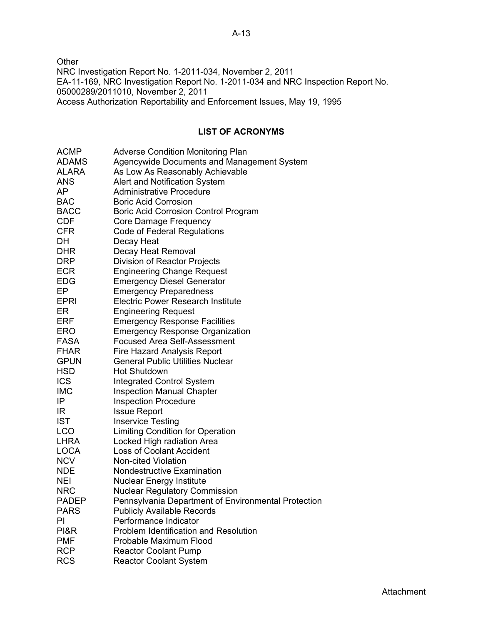**Other** NRC Investigation Report No. 1-2011-034, November 2, 2011 EA-11-169, NRC Investigation Report No. 1-2011-034 and NRC Inspection Report No. 05000289/2011010, November 2, 2011 Access Authorization Reportability and Enforcement Issues, May 19, 1995

## **LIST OF ACRONYMS**

| <b>ACMP</b>  | <b>Adverse Condition Monitoring Plan</b>            |
|--------------|-----------------------------------------------------|
| <b>ADAMS</b> | Agencywide Documents and Management System          |
| <b>ALARA</b> | As Low As Reasonably Achievable                     |
| <b>ANS</b>   | Alert and Notification System                       |
| AP           | <b>Administrative Procedure</b>                     |
| <b>BAC</b>   | <b>Boric Acid Corrosion</b>                         |
| <b>BACC</b>  | <b>Boric Acid Corrosion Control Program</b>         |
| <b>CDF</b>   | Core Damage Frequency                               |
| <b>CFR</b>   | <b>Code of Federal Regulations</b>                  |
| DH           | Decay Heat                                          |
| <b>DHR</b>   | Decay Heat Removal                                  |
| <b>DRP</b>   | Division of Reactor Projects                        |
| <b>ECR</b>   | <b>Engineering Change Request</b>                   |
| <b>EDG</b>   | <b>Emergency Diesel Generator</b>                   |
| EP.          | <b>Emergency Preparedness</b>                       |
| <b>EPRI</b>  | <b>Electric Power Research Institute</b>            |
| ER           | <b>Engineering Request</b>                          |
| <b>ERF</b>   | <b>Emergency Response Facilities</b>                |
| <b>ERO</b>   | <b>Emergency Response Organization</b>              |
| <b>FASA</b>  | <b>Focused Area Self-Assessment</b>                 |
| <b>FHAR</b>  | Fire Hazard Analysis Report                         |
| <b>GPUN</b>  | <b>General Public Utilities Nuclear</b>             |
| <b>HSD</b>   | <b>Hot Shutdown</b>                                 |
| <b>ICS</b>   | <b>Integrated Control System</b>                    |
| <b>IMC</b>   | <b>Inspection Manual Chapter</b>                    |
| IP           | <b>Inspection Procedure</b>                         |
| IR           | <b>Issue Report</b>                                 |
| <b>IST</b>   | <b>Inservice Testing</b>                            |
| <b>LCO</b>   | <b>Limiting Condition for Operation</b>             |
| <b>LHRA</b>  | Locked High radiation Area                          |
| <b>LOCA</b>  | <b>Loss of Coolant Accident</b>                     |
| <b>NCV</b>   | <b>Non-cited Violation</b>                          |
| <b>NDE</b>   | <b>Nondestructive Examination</b>                   |
| <b>NEI</b>   | <b>Nuclear Energy Institute</b>                     |
| <b>NRC</b>   | <b>Nuclear Regulatory Commission</b>                |
| <b>PADEP</b> | Pennsylvania Department of Environmental Protection |
| <b>PARS</b>  | <b>Publicly Available Records</b>                   |
| PI           | Performance Indicator                               |
| PI&R         | Problem Identification and Resolution               |
| <b>PMF</b>   | Probable Maximum Flood                              |
| <b>RCP</b>   | <b>Reactor Coolant Pump</b>                         |
| <b>RCS</b>   | <b>Reactor Coolant System</b>                       |